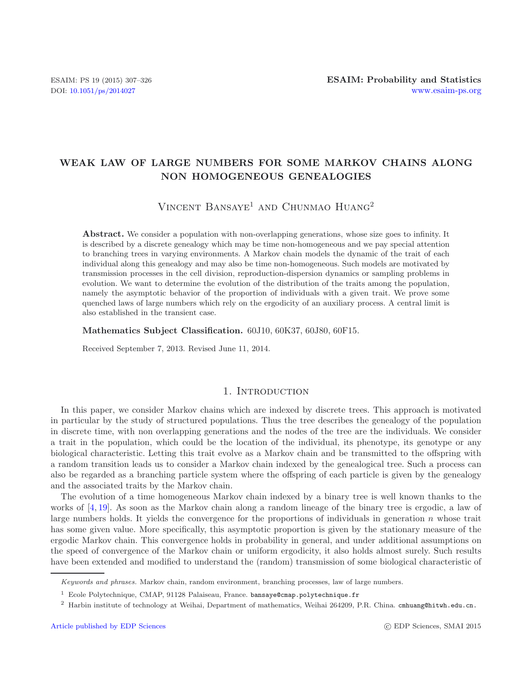# **WEAK LAW OF LARGE NUMBERS FOR SOME MARKOV CHAINS ALONG NON HOMOGENEOUS GENEALOGIES**

## Vincent Bansaye<sup>1</sup> and Chunmao Huang<sup>2</sup>

Abstract. We consider a population with non-overlapping generations, whose size goes to infinity. It is described by a discrete genealogy which may be time non-homogeneous and we pay special attention to branching trees in varying environments. A Markov chain models the dynamic of the trait of each individual along this genealogy and may also be time non-homogeneous. Such models are motivated by transmission processes in the cell division, reproduction-dispersion dynamics or sampling problems in evolution. We want to determine the evolution of the distribution of the traits among the population, namely the asymptotic behavior of the proportion of individuals with a given trait. We prove some quenched laws of large numbers which rely on the ergodicity of an auxiliary process. A central limit is also established in the transient case.

**Mathematics Subject Classification.** 60J10, 60K37, 60J80, 60F15.

Received September 7, 2013. Revised June 11, 2014.

## 1. INTRODUCTION

In this paper, we consider Markov chains which are indexed by discrete trees. This approach is motivated in particular by the study of structured populations. Thus the tree describes the genealogy of the population in discrete time, with non overlapping generations and the nodes of the tree are the individuals. We consider a trait in the population, which could be the location of the individual, its phenotype, its genotype or any biological characteristic. Letting this trait evolve as a Markov chain and be transmitted to the offspring with a random transition leads us to consider a Markov chain indexed by the genealogical tree. Such a process can also be regarded as a branching particle system where the offspring of each particle is given by the genealogy and the associated traits by the Markov chain.

The evolution of a time homogeneous Markov chain indexed by a binary tree is well known thanks to the works of [\[4,](#page-18-0) [19](#page-18-1)]. As soon as the Markov chain along a random lineage of the binary tree is ergodic, a law of large numbers holds. It yields the convergence for the proportions of individuals in generation  $n$  whose trait has some given value. More specifically, this asymptotic proportion is given by the stationary measure of the ergodic Markov chain. This convergence holds in probability in general, and under additional assumptions on the speed of convergence of the Markov chain or uniform ergodicity, it also holds almost surely. Such results have been extended and modified to understand the (random) transmission of some biological characteristic of

*Keywords and phrases.* Markov chain, random environment, branching processes, law of large numbers.

<sup>&</sup>lt;sup>1</sup> Ecole Polytechnique, CMAP, 91128 Palaiseau, France. bansaye@cmap.polytechnique.fr

<sup>2</sup> Harbin institute of technology at Weihai, Department of mathematics, Weihai 264209, P.R. China. cmhuang@hitwh.edu.cn.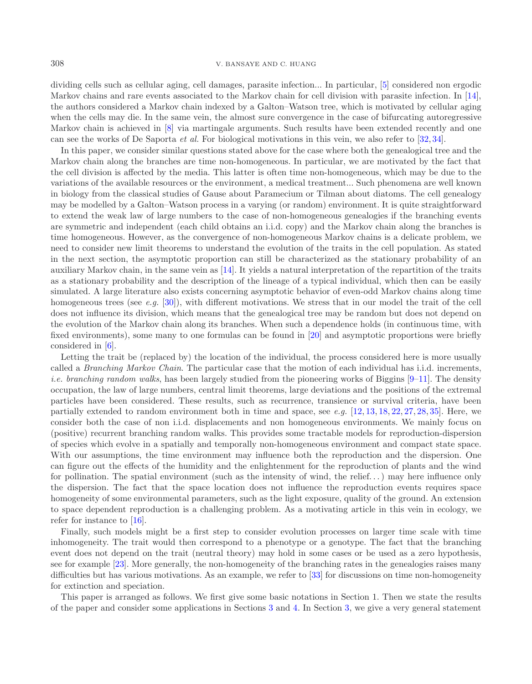dividing cells such as cellular aging, cell damages, parasite infection... In particular, [\[5\]](#page-18-2) considered non ergodic Markov chains and rare events associated to the Markov chain for cell division with parasite infection. In [\[14](#page-18-3)], the authors considered a Markov chain indexed by a Galton–Watson tree, which is motivated by cellular aging when the cells may die. In the same vein, the almost sure convergence in the case of bifurcating autoregressive Markov chain is achieved in [\[8\]](#page-18-4) via martingale arguments. Such results have been extended recently and one can see the works of De Saporta *et al.* For biological motivations in this vein, we also refer to [\[32,](#page-19-0) [34\]](#page-19-1).

In this paper, we consider similar questions stated above for the case where both the genealogical tree and the Markov chain along the branches are time non-homogeneous. In particular, we are motivated by the fact that the cell division is affected by the media. This latter is often time non-homogeneous, which may be due to the variations of the available resources or the environment, a medical treatment... Such phenomena are well known in biology from the classical studies of Gause about Paramecium or Tilman about diatoms. The cell genealogy may be modelled by a Galton–Watson process in a varying (or random) environment. It is quite straightforward to extend the weak law of large numbers to the case of non-homogeneous genealogies if the branching events are symmetric and independent (each child obtains an i.i.d. copy) and the Markov chain along the branches is time homogeneous. However, as the convergence of non-homogeneous Markov chains is a delicate problem, we need to consider new limit theorems to understand the evolution of the traits in the cell population. As stated in the next section, the asymptotic proportion can still be characterized as the stationary probability of an auxiliary Markov chain, in the same vein as [\[14\]](#page-18-3). It yields a natural interpretation of the repartition of the traits as a stationary probability and the description of the lineage of a typical individual, which then can be easily simulated. A large literature also exists concerning asymptotic behavior of even-odd Markov chains along time homogeneous trees (see *e.g.* [\[30](#page-19-2)]), with different motivations. We stress that in our model the trait of the cell does not influence its division, which means that the genealogical tree may be random but does not depend on the evolution of the Markov chain along its branches. When such a dependence holds (in continuous time, with fixed environments), some many to one formulas can be found in [\[20](#page-18-5)] and asymptotic proportions were briefly considered in [\[6\]](#page-18-6).

Letting the trait be (replaced by) the location of the individual, the process considered here is more usually called a *Branching Markov Chain*. The particular case that the motion of each individual has i.i.d. increments, *i.e. branching random walks*, has been largely studied from the pioneering works of Biggins [\[9–](#page-18-7)[11\]](#page-18-8). The density occupation, the law of large numbers, central limit theorems, large deviations and the positions of the extremal particles have been considered. These results, such as recurrence, transience or survival criteria, have been partially extended to random environment both in time and space, see *e.g.* [\[12](#page-18-9), [13,](#page-18-10) [18,](#page-18-11) [22](#page-18-12), [27,](#page-19-3) [28,](#page-19-4) [35](#page-19-5)]. Here, we consider both the case of non i.i.d. displacements and non homogeneous environments. We mainly focus on (positive) recurrent branching random walks. This provides some tractable models for reproduction-dispersion of species which evolve in a spatially and temporally non-homogeneous environment and compact state space. With our assumptions, the time environment may influence both the reproduction and the dispersion. One can figure out the effects of the humidity and the enlightenment for the reproduction of plants and the wind for pollination. The spatial environment (such as the intensity of wind, the relief. . . ) may here influence only the dispersion. The fact that the space location does not influence the reproduction events requires space homogeneity of some environmental parameters, such as the light exposure, quality of the ground. An extension to space dependent reproduction is a challenging problem. As a motivating article in this vein in ecology, we refer for instance to [\[16\]](#page-18-13).

Finally, such models might be a first step to consider evolution processes on larger time scale with time inhomogeneity. The trait would then correspond to a phenotype or a genotype. The fact that the branching event does not depend on the trait (neutral theory) may hold in some cases or be used as a zero hypothesis, see for example [\[23\]](#page-18-14). More generally, the non-homogeneity of the branching rates in the genealogies raises many difficulties but has various motivations. As an example, we refer to [\[33\]](#page-19-6) for discussions on time non-homogeneity for extinction and speciation.

This paper is arranged as follows. We first give some basic notations in Section 1. Then we state the results of the paper and consider some applications in Sections [3](#page-3-0) and [4.](#page-4-0) In Section [3,](#page-3-0) we give a very general statement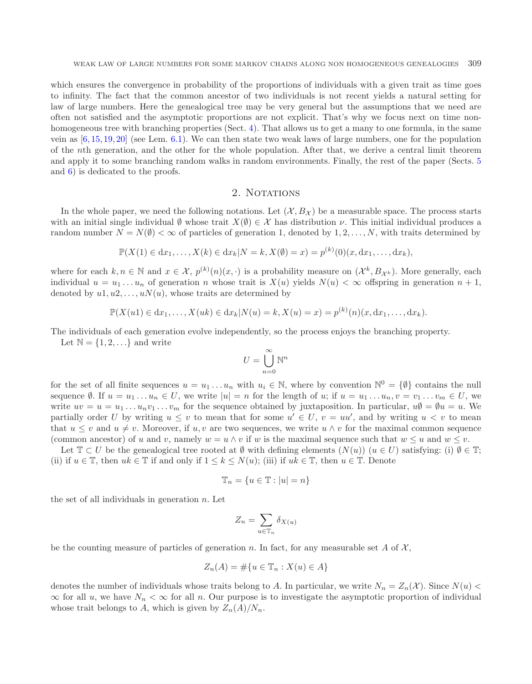which ensures the convergence in probability of the proportions of individuals with a given trait as time goes to infinity. The fact that the common ancestor of two individuals is not recent yields a natural setting for law of large numbers. Here the genealogical tree may be very general but the assumptions that we need are often not satisfied and the asymptotic proportions are not explicit. That's why we focus next on time non-homogeneous tree with branching properties (Sect. [4\)](#page-4-0). That allows us to get a many to one formula, in the same vein as  $[6, 15, 19, 20]$  $[6, 15, 19, 20]$  $[6, 15, 19, 20]$  $[6, 15, 19, 20]$  $[6, 15, 19, 20]$  $[6, 15, 19, 20]$  $[6, 15, 19, 20]$  (see Lem. [6.1\)](#page-12-0). We can then state two weak laws of large numbers, one for the population of the nth generation, and the other for the whole population. After that, we derive a central limit theorem and apply it to some branching random walks in random environments. Finally, the rest of the paper (Sects. [5](#page-10-0) and [6\)](#page-12-1) is dedicated to the proofs.

## 2. NOTATIONS

In the whole paper, we need the following notations. Let  $(\mathcal{X}, B_{\mathcal{X}})$  be a measurable space. The process starts with an initial single individual  $\emptyset$  whose trait  $X(\emptyset) \in \mathcal{X}$  has distribution  $\nu$ . This initial individual produces a random number  $N = N(\emptyset) < \infty$  of particles of generation 1, denoted by  $1, 2, \ldots, N$ , with traits determined by

$$
\mathbb{P}(X(1) \in dx_1, ..., X(k) \in dx_k | N = k, X(\emptyset) = x) = p^{(k)}(0)(x, dx_1, ..., dx_k),
$$

where for each  $k, n \in \mathbb{N}$  and  $x \in \mathcal{X}, p^{(k)}(n)(x, \cdot)$  is a probability measure on  $(\mathcal{X}^k, B_{\mathcal{X}^k})$ . More generally, each individual  $u = u_1 \dots u_n$  of generation n whose trait is  $X(u)$  yields  $N(u) < \infty$  offspring in generation  $n + 1$ , denoted by  $u_1, u_2, \ldots, u_N(u)$ , whose traits are determined by

$$
\mathbb{P}(X(u1) \in dx_1, \dots, X(uk) \in dx_k | N(u) = k, X(u) = x) = p^{(k)}(n)(x, dx_1, \dots, dx_k).
$$

The individuals of each generation evolve independently, so the process enjoys the branching property. Let  $\mathbb{N} = \{1, 2, \ldots\}$  and write

$$
U = \bigcup_{n=0}^{\infty} \mathbb{N}^n
$$

for the set of all finite sequences  $u = u_1 \ldots u_n$  with  $u_i \in \mathbb{N}$ , where by convention  $\mathbb{N}^0 = {\emptyset}$  contains the null sequence  $\emptyset$ . If  $u = u_1 \dots u_n \in U$ , we write  $|u| = n$  for the length of u; if  $u = u_1 \dots u_n$ ,  $v = v_1 \dots v_m \in U$ , we write  $uv = u = u_1 \dots u_n v_1 \dots v_m$  for the sequence obtained by juxtaposition. In particular,  $u\emptyset = \emptyset u = u$ . We partially order U by writing  $u \leq v$  to mean that for some  $u' \in U$ ,  $v = uu'$ , and by writing  $u < v$  to mean that  $u \leq v$  and  $u \neq v$ . Moreover, if  $u, v$  are two sequences, we write  $u \wedge v$  for the maximal common sequence (common ancestor) of u and v, namely  $w = u \wedge v$  if w is the maximal sequence such that  $w \le u$  and  $w \le v$ .

Let  $\mathbb{T} \subset U$  be the genealogical tree rooted at  $\emptyset$  with defining elements  $(N(u))$   $(u \in U)$  satisfying: (i)  $\emptyset \in \mathbb{T}$ ; (ii) if  $u \in \mathbb{T}$ , then  $uk \in \mathbb{T}$  if and only if  $1 \leq k \leq N(u)$ ; (iii) if  $uk \in \mathbb{T}$ , then  $u \in \mathbb{T}$ . Denote

$$
\mathbb{T}_n = \{ u \in \mathbb{T} : |u| = n \}
$$

the set of all individuals in generation  $n$ . Let

$$
Z_n = \sum_{u \in \mathbb{T}_n} \delta_{X(u)}
$$

be the counting measure of particles of generation n. In fact, for any measurable set A of  $\mathcal{X}$ ,

$$
Z_n(A) = \#\{u \in \mathbb{T}_n : X(u) \in A\}
$$

denotes the number of individuals whose traits belong to A. In particular, we write  $N_n = Z_n(\mathcal{X})$ . Since  $N(u)$  $\infty$  for all u, we have  $N_n < \infty$  for all n. Our purpose is to investigate the asymptotic proportion of individual whose trait belongs to A, which is given by  $Z_n(A)/N_n$ .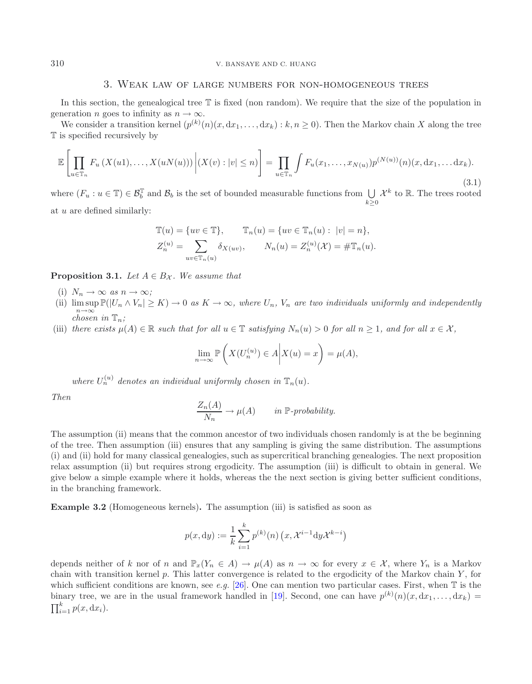## <span id="page-3-2"></span>3. Weak law of large numbers for non-homogeneous trees

<span id="page-3-0"></span>In this section, the genealogical tree  $\mathbb T$  is fixed (non random). We require that the size of the population in generation *n* goes to infinity as  $n \to \infty$ .

We consider a transition kernel  $(p^{(k)}(n)(x, dx_1,..., dx_k) : k, n \ge 0)$ . Then the Markov chain X along the tree T is specified recursively by

$$
\mathbb{E}\left[\prod_{u\in\mathbb{T}_n}F_u\left(X(u1),\ldots,X(uN(u))\right)\middle|\left(X(v):|v|\leq n\right)\right]=\prod_{u\in\mathbb{T}_n}\int F_u(x_1,\ldots,x_{N(u)})p^{(N(u))}(n)(x,\mathrm{d}x_1,\ldots\mathrm{d}x_k).
$$
\n(3.1)

where  $(F_u : u \in \mathbb{T}) \in \mathcal{B}_b^{\mathbb{T}}$  and  $\mathcal{B}_b$  is the set of bounded measurable functions from  $\bigcup$  $k\geq 0$  $\mathcal{X}^k$  to  $\mathbb{R}$ . The trees rooted at u are defined similarly:

$$
\mathbb{T}(u) = \{ uv \in \mathbb{T} \}, \qquad \mathbb{T}_n(u) = \{ uv \in \mathbb{T}_n(u) : |v| = n \},
$$
  

$$
Z_n^{(u)} = \sum_{uv \in \mathbb{T}_n(u)} \delta_{X(uv)}, \qquad N_n(u) = Z_n^{(u)}(\mathcal{X}) = \# \mathbb{T}_n(u).
$$

<span id="page-3-3"></span>**Proposition 3.1.** *Let*  $A \in B_{\mathcal{X}}$ *. We assume that* 

- (i)  $N_n \to \infty$  *as*  $n \to \infty$ ;
- (ii)  $\limsup \mathbb{P}(|U_n \wedge V_n| \ge K) \to 0$  *as*  $K \to \infty$ *, where*  $U_n$ *,*  $V_n$  *are two individuals uniformly and independently*  $\lim_{n \to \infty} \cos n$  in  $\mathbb{T}_n$ ;
- (iii) *there exists*  $\mu(A) \in \mathbb{R}$  *such that for all*  $u \in \mathbb{T}$  *satisfying*  $N_n(u) > 0$  *for all*  $n \geq 1$ *, and for all*  $x \in \mathcal{X}$ *,*

$$
\lim_{n \to \infty} \mathbb{P}\left(X(U_n^{(u)}) \in A \middle| X(u) = x\right) = \mu(A),
$$

*where*  $U_n^{(u)}$  *denotes an individual uniformly chosen in*  $\mathbb{T}_n(u)$ *.* 

*Then*

$$
\frac{Z_n(A)}{N_n} \to \mu(A) \qquad in \mathbb{P}\text{-}probability.
$$

The assumption (ii) means that the common ancestor of two individuals chosen randomly is at the be beginning of the tree. Then assumption (iii) ensures that any sampling is giving the same distribution. The assumptions (i) and (ii) hold for many classical genealogies, such as supercritical branching genealogies. The next proposition relax assumption (ii) but requires strong ergodicity. The assumption (iii) is difficult to obtain in general. We give below a simple example where it holds, whereas the the next section is giving better sufficient conditions, in the branching framework.

<span id="page-3-1"></span>**Example 3.2** (Homogeneous kernels)**.** The assumption (iii) is satisfied as soon as

$$
p(x, dy) := \frac{1}{k} \sum_{i=1}^{k} p^{(k)}(n) (x, \mathcal{X}^{i-1} dy \mathcal{X}^{k-i})
$$

depends neither of k nor of n and  $\mathbb{P}_x(Y_n \in A) \to \mu(A)$  as  $n \to \infty$  for every  $x \in \mathcal{X}$ , where  $Y_n$  is a Markov chain with transition kernel  $p$ . This latter convergence is related to the ergodicity of the Markov chain  $Y$ , for which sufficient conditions are known, see *e.g.* [\[26\]](#page-19-7). One can mention two particular cases. First, when T is the binary tree, we are in the usual framework handled in [\[19](#page-18-1)]. Second, one can have  $p^{(k)}(n)(x, dx_1, \ldots, dx_k)$  $\prod_{i=1}^{k} p(x, dx_i)$ .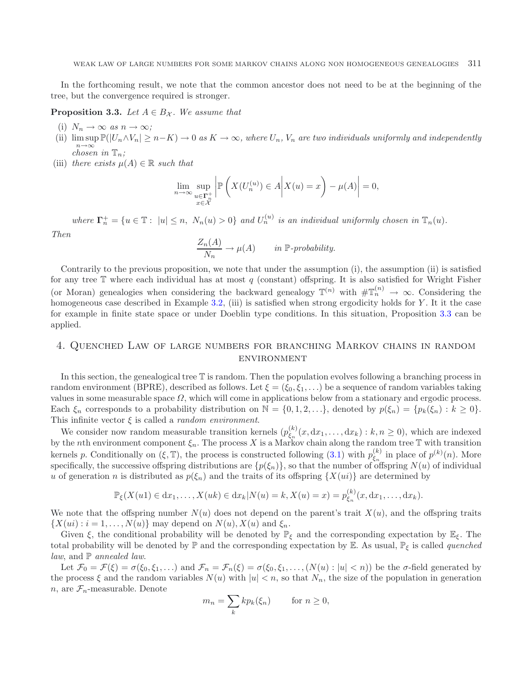<span id="page-4-1"></span>In the forthcoming result, we note that the common ancestor does not need to be at the beginning of the tree, but the convergence required is stronger.

**Proposition 3.3.** *Let*  $A \in B_{\mathcal{X}}$ *. We assume that* 

- (i)  $N_n \to \infty$  *as*  $n \to \infty$ ;
- (ii)  $\limsup \mathbb{P}(|U_n \wedge V_n| \ge n K) \to 0$  *as*  $K \to \infty$ *, where*  $U_n$ *,*  $V_n$  *are two individuals uniformly and independently*  $\lim_{n \to \infty} \frac{n \to \infty}{n \cdot n}$  *chosen in*  $\mathbb{T}_n$ *;*
- (iii) *there exists*  $\mu(A) \in \mathbb{R}$  *such that*

$$
\lim_{n \to \infty} \sup_{\substack{u \in \mathbf{\Gamma}_n^+ \\ x \in \mathcal{X}}} \left| \mathbb{P}\left(X(U_n^{(u)}) \in A \middle| X(u) = x\right) - \mu(A) \right| = 0,
$$

*where*  $\Gamma_n^+ = \{u \in \mathbb{T} : |u| \leq n, N_n(u) > 0\}$  *and*  $U_n^{(u)}$  *is an individual uniformly chosen in*  $\mathbb{T}_n(u)$ *.* 

*Then*

$$
\frac{Z_n(A)}{N_n} \to \mu(A) \qquad in \mathbb{P}\text{-}probability.
$$

Contrarily to the previous proposition, we note that under the assumption (i), the assumption (ii) is satisfied for any tree  $\mathbb T$  where each individual has at most q (constant) offspring. It is also satisfied for Wright Fisher (or Moran) genealogies when considering the backward genealogy  $\mathbb{T}^{(n)}$  with  $\#\mathbb{T}_{n}^{(n)} \to \infty$ . Considering the homogeneous case described in Example [3.2,](#page-3-1) (iii) is satisfied when strong ergodicity holds for  $Y$ . It it the case for example in finite state space or under Doeblin type conditions. In this situation, Proposition [3.3](#page-4-1) can be applied.

## <span id="page-4-0"></span>4. Quenched Law of large numbers for branching Markov chains in random environment

In this section, the genealogical tree T is random. Then the population evolves following a branching process in random environment (BPRE), described as follows. Let  $\xi = (\xi_0, \xi_1, \ldots)$  be a sequence of random variables taking values in some measurable space  $\Omega$ , which will come in applications below from a stationary and ergodic process. Each  $\xi_n$  corresponds to a probability distribution on  $\mathbb{N} = \{0, 1, 2, \ldots\}$ , denoted by  $p(\xi_n) = \{p_k(\xi_n) : k \geq 0\}$ . This infinite vector ξ is called a *random environment*.

We consider now random measurable transition kernels  $(p_{\xi_n}^{(k)}(x, dx_1, \ldots, dx_k) : k, n \ge 0)$ , which are indexed by the nth environment component  $\xi_n$ . The process X is a Markov chain along the random tree  $\mathbb T$  with transition kernels p. Conditionally on  $(\xi, \mathbb{T})$ , the process is constructed following  $(3.1)$  with  $p_{\xi_n}^{(k)}$  in place of  $p^{(k)}(n)$ . More specifically, the successive offspring distributions are  $\{p(\xi_n)\}\$ , so that the number of offspring  $N(u)$  of individual u of generation n is distributed as  $p(\xi_n)$  and the traits of its offspring  $\{X(u_i)\}\)$  are determined by

$$
\mathbb{P}_{\xi}(X(u1) \in dx_1, \dots, X(uk) \in dx_k | N(u) = k, X(u) = x) = p_{\xi_n}^{(k)}(x, dx_1, \dots, dx_k).
$$

We note that the offspring number  $N(u)$  does not depend on the parent's trait  $X(u)$ , and the offspring traits  $\{X(ui): i=1,\ldots,N(u)\}\$  may depend on  $N(u), X(u)$  and  $\xi_n$ .

Given  $\xi$ , the conditional probability will be denoted by  $\mathbb{P}_{\xi}$  and the corresponding expectation by  $\mathbb{E}_{\xi}$ . The total probability will be denoted by  $\mathbb P$  and the corresponding expectation by  $\mathbb E$ . As usual,  $\mathbb P_{\xi}$  is called *quenched law*, and P *annealed law*.

Let  $\mathcal{F}_0 = \mathcal{F}(\xi) = \sigma(\xi_0, \xi_1, \ldots)$  and  $\mathcal{F}_n = \mathcal{F}_n(\xi) = \sigma(\xi_0, \xi_1, \ldots, (N(u): |u| < n))$  be the  $\sigma$ -field generated by the process  $\xi$  and the random variables  $N(u)$  with  $|u| < n$ , so that  $N_n$ , the size of the population in generation n, are  $\mathcal{F}_n$ -measurable. Denote

$$
m_n = \sum_k k p_k(\xi_n) \qquad \text{for } n \ge 0,
$$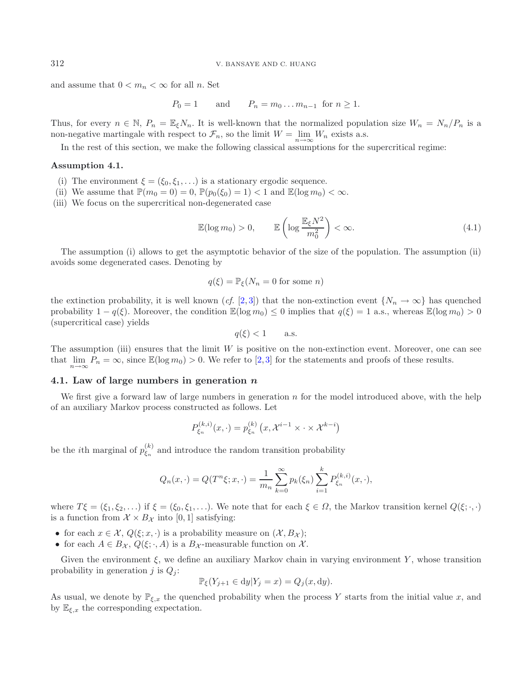and assume that  $0 < m_n < \infty$  for all *n*. Set

<span id="page-5-1"></span>
$$
P_0 = 1
$$
 and  $P_n = m_0 ... m_{n-1}$  for  $n \ge 1$ .

Thus, for every  $n \in \mathbb{N}$ ,  $P_n = \mathbb{E}_{\xi} N_n$ . It is well-known that the normalized population size  $W_n = N_n/P_n$  is a non-negative martingale with respect to  $\mathcal{F}_n$ , so the limit  $W = \lim_{n \to \infty} W_n$  exists a.s.

In the rest of this section, we make the following classical assumptions for the supercritical regime:

### **Assumption 4.1.**

- (i) The environment  $\xi = (\xi_0, \xi_1, \ldots)$  is a stationary ergodic sequence.
- (ii) We assume that  $\mathbb{P}(m_0 = 0) = 0$ ,  $\mathbb{P}(p_0(\xi_0) = 1) < 1$  and  $\mathbb{E}(\log m_0) < \infty$ .
- (iii) We focus on the supercritical non-degenerated case

$$
\mathbb{E}(\log m_0) > 0, \qquad \mathbb{E}\left(\log \frac{\mathbb{E}_{\xi} N^2}{m_0^2}\right) < \infty. \tag{4.1}
$$

The assumption (i) allows to get the asymptotic behavior of the size of the population. The assumption (ii) avoids some degenerated cases. Denoting by

$$
q(\xi) = \mathbb{P}_{\xi}(N_n = 0 \text{ for some } n)
$$

the extinction probability, it is well known (*cf.* [\[2](#page-18-16),[3](#page-18-17)]) that the non-extinction event  $\{N_n \to \infty\}$  has quenched probability  $1 - q(\xi)$ . Moreover, the condition  $\mathbb{E}(\log m_0) \leq 0$  implies that  $q(\xi) = 1$  a.s., whereas  $\mathbb{E}(\log m_0) > 0$ (supercritical case) yields

$$
q(\xi) < 1 \qquad \text{a.s.}
$$

The assumption (iii) ensures that the limit  $W$  is positive on the non-extinction event. Moreover, one can see that lim  $P_n = \infty$ , since  $\mathbb{E}(\log m_0) > 0$ . We refer to [\[2,](#page-18-16)[3\]](#page-18-17) for the statements and proofs of these results.

### <span id="page-5-0"></span>**4.1. Law of large numbers in generation** *n*

We first give a forward law of large numbers in generation  $n$  for the model introduced above, with the help of an auxiliary Markov process constructed as follows. Let

$$
P_{\xi_n}^{(k,i)}(x,\cdot) = p_{\xi_n}^{(k)}\left(x, \mathcal{X}^{i-1} \times \cdot \times \mathcal{X}^{k-i}\right)
$$

be the *i*th marginal of  $p_{\xi_n}^{(k)}$  and introduce the random transition probability

$$
Q_n(x, \cdot) = Q(T^n \xi; x, \cdot) = \frac{1}{m_n} \sum_{k=0}^{\infty} p_k(\xi_n) \sum_{i=1}^{k} P_{\xi_n}^{(k,i)}(x, \cdot),
$$

where  $T\xi = (\xi_1, \xi_2, \ldots)$  if  $\xi = (\xi_0, \xi_1, \ldots)$ . We note that for each  $\xi \in \Omega$ , the Markov transition kernel  $Q(\xi, \cdot, \cdot)$ is a function from  $\mathcal{X} \times B_{\mathcal{X}}$  into [0, 1] satisfying:

- for each  $x \in \mathcal{X}, Q(\xi; x, \cdot)$  is a probability measure on  $(\mathcal{X}, B_{\mathcal{X}})$ ;
- for each  $A \in B_{\mathcal{X}}$ ,  $Q(\xi; \cdot, A)$  is a  $B_{\mathcal{X}}$ -measurable function on X.

Given the environment  $\xi$ , we define an auxiliary Markov chain in varying environment Y, whose transition probability in generation j is  $Q_i$ :

$$
\mathbb{P}_{\xi}(Y_{j+1} \in dy | Y_j = x) = Q_j(x, dy).
$$

As usual, we denote by  $\mathbb{P}_{\xi,x}$  the quenched probability when the process Y starts from the initial value x, and by  $\mathbb{E}_{\xi,x}$  the corresponding expectation.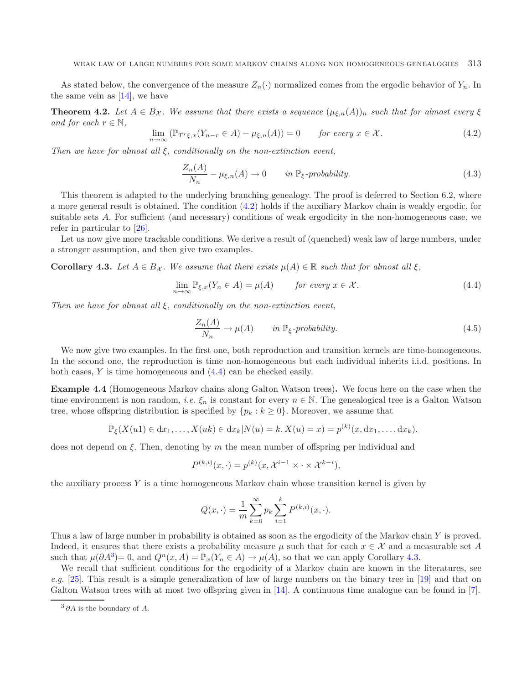<span id="page-6-4"></span><span id="page-6-0"></span>As stated below, the convergence of the measure  $Z_n(\cdot)$  normalized comes from the ergodic behavior of  $Y_n$ . In the same vein as [\[14\]](#page-18-3), we have

**Theorem 4.2.** *Let*  $A \in B_{\mathcal{X}}$ *. We assume that there exists a sequence*  $(\mu_{\xi,n}(A))_n$  *such that for almost every*  $\xi$ *and for each*  $r \in \mathbb{N}$ *,* 

<span id="page-6-5"></span>
$$
\lim_{n \to \infty} \left( \mathbb{P}_{T^r \xi, x} (Y_{n-r} \in A) - \mu_{\xi, n}(A) \right) = 0 \quad \text{for every } x \in \mathcal{X}.
$$
 (4.2)

*Then we have for almost all* ξ*, conditionally on the non-extinction event,*

<span id="page-6-1"></span>
$$
\frac{Z_n(A)}{N_n} - \mu_{\xi,n}(A) \to 0 \qquad in \, \mathbb{P}_{\xi} \text{-}probability. \tag{4.3}
$$

This theorem is adapted to the underlying branching genealogy. The proof is deferred to Section 6.2, where a more general result is obtained. The condition [\(4.2\)](#page-6-0) holds if the auxiliary Markov chain is weakly ergodic, for suitable sets A. For sufficient (and necessary) conditions of weak ergodicity in the non-homogeneous case, we refer in particular to [\[26](#page-19-7)].

<span id="page-6-3"></span>Let us now give more trackable conditions. We derive a result of (quenched) weak law of large numbers, under a stronger assumption, and then give two examples.

**Corollary 4.3.** *Let*  $A \in B_{\mathcal{X}}$ *. We assume that there exists*  $\mu(A) \in \mathbb{R}$  *such that for almost all*  $\xi$ *,* 

$$
\lim_{n \to \infty} \mathbb{P}_{\xi, x}(Y_n \in A) = \mu(A) \qquad \text{for every } x \in \mathcal{X}.
$$
 (4.4)

*Then we have for almost all* ξ*, conditionally on the non-extinction event,*

$$
\frac{Z_n(A)}{N_n} \to \mu(A) \qquad in \, \mathbb{P}_{\xi} \text{-probability.}
$$
\n
$$
(4.5)
$$

We now give two examples. In the first one, both reproduction and transition kernels are time-homogeneous. In the second one, the reproduction is time non-homogeneous but each individual inherits i.i.d. positions. In both cases, Y is time homogeneous and [\(4.4\)](#page-6-1) can be checked easily.

**Example 4.4** (Homogeneous Markov chains along Galton Watson trees)**.** We focus here on the case when the time environment is non random, *i.e.*  $\xi_n$  is constant for every  $n \in \mathbb{N}$ . The genealogical tree is a Galton Watson tree, whose offspring distribution is specified by  $\{p_k : k \geq 0\}$ . Moreover, we assume that

$$
\mathbb{P}_{\xi}(X(u1) \in dx_1, \dots, X(uk) \in dx_k | N(u) = k, X(u) = x) = p^{(k)}(x, dx_1, \dots, dx_k).
$$

does not depend on  $\xi$ . Then, denoting by m the mean number of offspring per individual and

$$
P^{(k,i)}(x,\cdot) = p^{(k)}(x, \mathcal{X}^{i-1} \times \cdot \times \mathcal{X}^{k-i}),
$$

<span id="page-6-2"></span>the auxiliary process  $Y$  is a time homogeneous Markov chain whose transition kernel is given by

$$
Q(x, \cdot) = \frac{1}{m} \sum_{k=0}^{\infty} p_k \sum_{i=1}^{k} P^{(k,i)}(x, \cdot).
$$

Thus a law of large number in probability is obtained as soon as the ergodicity of the Markov chain Y is proved. Indeed, it ensures that there exists a probability measure  $\mu$  such that for each  $x \in \mathcal{X}$  and a measurable set A such that  $\mu(\partial A^3)=0$  $\mu(\partial A^3)=0$  $\mu(\partial A^3)=0$ , and  $Q^n(x, A)=\mathbb{P}_x(Y_n\in A)\to \mu(A)$ , so that we can apply Corollary [4.3.](#page-6-3)

We recall that sufficient conditions for the ergodicity of a Markov chain are known in the literatures, see *e.g.* [\[25\]](#page-19-8). This result is a simple generalization of law of large numbers on the binary tree in [\[19\]](#page-18-1) and that on Galton Watson trees with at most two offspring given in [\[14](#page-18-3)]. A continuous time analogue can be found in [\[7](#page-18-18)].

 $3 \partial A$  is the boundary of A.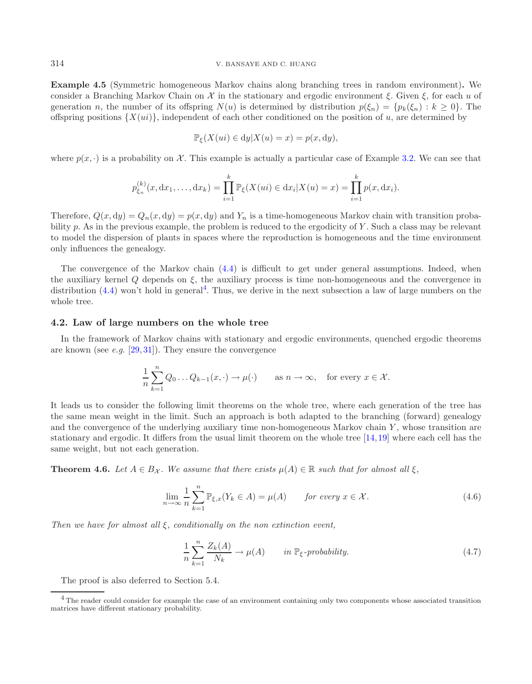**Example 4.5** (Symmetric homogeneous Markov chains along branching trees in random environment)**.** We consider a Branching Markov Chain on  $\mathcal X$  in the stationary and ergodic environment  $\mathcal E$ . Given  $\mathcal E$ , for each u of generation n, the number of its offspring  $N(u)$  is determined by distribution  $p(\xi_n) = \{p_k(\xi_n) : k \geq 0\}$ . The offspring positions  $\{X(u)\}\$ , independent of each other conditioned on the position of u, are determined by

$$
\mathbb{P}_{\xi}(X(ui) \in dy | X(u) = x) = p(x, dy),
$$

where  $p(x, \cdot)$  is a probability on X. This example is actually a particular case of Example [3.2.](#page-3-1) We can see that

$$
p_{\xi_n}^{(k)}(x, dx_1, \dots, dx_k) = \prod_{i=1}^k \mathbb{P}_{\xi}(X(ui) \in dx_i | X(u) = x) = \prod_{i=1}^k p(x, dx_i).
$$

Therefore,  $Q(x, dy) = Q_n(x, dy) = p(x, dy)$  and  $Y_n$  is a time-homogeneous Markov chain with transition probability p. As in the previous example, the problem is reduced to the ergodicity of Y . Such a class may be relevant to model the dispersion of plants in spaces where the reproduction is homogeneous and the time environment only influences the genealogy.

The convergence of the Markov chain [\(4.4\)](#page-6-1) is difficult to get under general assumptions. Indeed, when the auxiliary kernel  $Q$  depends on  $\xi$ , the auxiliary process is time non-homogeneous and the convergence in distribution  $(4.4)$  won't hold in general<sup>[4](#page-7-0)</sup>. Thus, we derive in the next subsection a law of large numbers on the whole tree.

#### **4.2. Law of large numbers on the whole tree**

In the framework of Markov chains with stationary and ergodic environments, quenched ergodic theorems are known (see *e.g.* [\[29](#page-19-9), [31](#page-19-10)]). They ensure the convergence

<span id="page-7-3"></span><span id="page-7-1"></span>
$$
\frac{1}{n}\sum_{k=1}^{n}Q_0\dots Q_{k-1}(x,\cdot)\to\mu(\cdot)\qquad\text{as }n\to\infty,\quad\text{for every }x\in\mathcal{X}.
$$

It leads us to consider the following limit theorems on the whole tree, where each generation of the tree has the same mean weight in the limit. Such an approach is both adapted to the branching (forward) genealogy and the convergence of the underlying auxiliary time non-homogeneous Markov chain  $Y$ , whose transition are stationary and ergodic. It differs from the usual limit theorem on the whole tree [\[14](#page-18-3)[,19](#page-18-1)] where each cell has the same weight, but not each generation.

<span id="page-7-2"></span><span id="page-7-0"></span>**Theorem 4.6.** *Let*  $A \in B_{\mathcal{X}}$ *. We assume that there exists*  $\mu(A) \in \mathbb{R}$  *such that for almost all*  $\xi$ *,* 

$$
\lim_{n \to \infty} \frac{1}{n} \sum_{k=1}^{n} \mathbb{P}_{\xi, x}(Y_k \in A) = \mu(A) \qquad \text{for every } x \in \mathcal{X}.
$$
 (4.6)

*Then we have for almost all* ξ*, conditionally on the non extinction event,*

$$
\frac{1}{n}\sum_{k=1}^{n}\frac{Z_k(A)}{N_k} \to \mu(A) \qquad in \; \mathbb{P}_{\xi}\text{-probability.}
$$
\n
$$
(4.7)
$$

The proof is also deferred to Section 5.4.

<sup>&</sup>lt;sup>4</sup> The reader could consider for example the case of an environment containing only two components whose associated transition matrices have different stationary probability.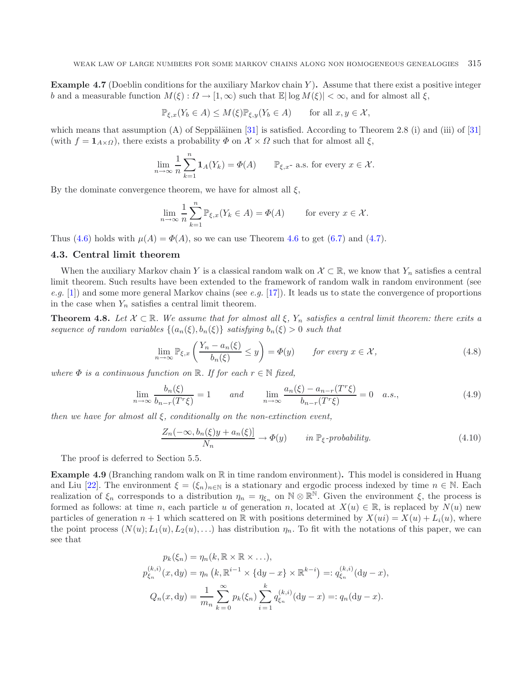**Example 4.7** (Doeblin conditions for the auxiliary Markov chain Y). Assume that there exist a positive integer b and a measurable function  $M(\xi): \Omega \to [1,\infty)$  such that  $\mathbb{E}|\log M(\xi)| < \infty$ , and for almost all  $\xi$ .

$$
\mathbb{P}_{\xi,x}(Y_b \in A) \le M(\xi)\mathbb{P}_{\xi,y}(Y_b \in A) \quad \text{for all } x, y \in \mathcal{X},
$$

which means that assumption (A) of Seppäläinen [\[31\]](#page-19-10) is satisfied. According to Theorem 2.8 (i) and (iii) of [31] (with  $f = \mathbf{1}_{A \times Q}$ ), there exists a probability  $\Phi$  on  $\mathcal{X} \times \Omega$  such that for almost all  $\xi$ ,

<span id="page-8-2"></span>
$$
\lim_{n \to \infty} \frac{1}{n} \sum_{k=1}^{n} \mathbf{1}_A(Y_k) = \varPhi(A) \qquad \mathbb{P}_{\xi, x} \text{- a.s. for every } x \in \mathcal{X}.
$$

By the dominate convergence theorem, we have for almost all  $\xi$ ,

<span id="page-8-1"></span><span id="page-8-0"></span>
$$
\lim_{n \to \infty} \frac{1}{n} \sum_{k=1}^{n} \mathbb{P}_{\xi, x}(Y_k \in A) = \Phi(A) \quad \text{for every } x \in \mathcal{X}.
$$

Thus [\(4.6\)](#page-7-1) holds with  $\mu(A) = \Phi(A)$ , so we can use Theorem [4.6](#page-7-2) to get [\(6.7\)](#page-16-0) and [\(4.7\)](#page-7-3).

#### **4.3. Central limit theorem**

When the auxiliary Markov chain Y is a classical random walk on  $\mathcal{X} \subset \mathbb{R}$ , we know that  $Y_n$  satisfies a central limit theorem. Such results have been extended to the framework of random walk in random environment (see *e.g.* [\[1\]](#page-18-19)) and some more general Markov chains (see *e.g.* [\[17\]](#page-18-20)). It leads us to state the convergence of proportions in the case when  $Y_n$  satisfies a central limit theorem.

**Theorem 4.8.** Let  $\mathcal{X} \subset \mathbb{R}$ . We assume that for almost all  $\xi$ ,  $Y_n$  satisfies a central limit theorem: there exits a *sequence of random variables*  $\{(a_n(\xi), b_n(\xi))\}$  *satisfying*  $b_n(\xi) > 0$  *such that* 

<span id="page-8-3"></span>
$$
\lim_{n \to \infty} \mathbb{P}_{\xi, x} \left( \frac{Y_n - a_n(\xi)}{b_n(\xi)} \le y \right) = \Phi(y) \qquad \text{for every } x \in \mathcal{X}, \tag{4.8}
$$

*where*  $\Phi$  *is a continuous function on*  $\mathbb{R}$ *. If for each*  $r \in \mathbb{N}$  *fixed,* 

$$
\lim_{n \to \infty} \frac{b_n(\xi)}{b_{n-r}(T^r \xi)} = 1 \quad \text{and} \quad \lim_{n \to \infty} \frac{a_n(\xi) - a_{n-r}(T^r \xi)}{b_{n-r}(T^r \xi)} = 0 \quad a.s., \tag{4.9}
$$

*then we have for almost all* ξ*, conditionally on the non-extinction event,*

$$
\frac{Z_n(-\infty, b_n(\xi)y + a_n(\xi)]}{N_n} \to \Phi(y) \qquad in \; \mathbb{P}_{\xi} \text{-}probability. \tag{4.10}
$$

The proof is deferred to Section 5.5.

**Example 4.9** (Branching random walk on R in time random environment)**.** This model is considered in Huang and Liu [\[22\]](#page-18-12). The environment  $\xi = (\xi_n)_{n \in \mathbb{N}}$  is a stationary and ergodic process indexed by time  $n \in \mathbb{N}$ . Each realization of  $\xi_n$  corresponds to a distribution  $\eta_n = \eta_{\xi_n}$  on  $\mathbb{N} \otimes \mathbb{R}^{\mathbb{N}}$ . Given the environment  $\xi$ , the process is formed as follows: at time n, each particle u of generation n, located at  $X(u) \in \mathbb{R}$ , is replaced by  $N(u)$  new particles of generation  $n + 1$  which scattered on R with positions determined by  $X(ui) = X(u) + L_i(u)$ , where the point process  $(N(u); L_1(u), L_2(u),...)$  has distribution  $\eta_n$ . To fit with the notations of this paper, we can see that

$$
p_k(\xi_n) = \eta_n(k, \mathbb{R} \times \mathbb{R} \times \dots),
$$
  
\n
$$
p_{\xi_n}^{(k,i)}(x, dy) = \eta_n(k, \mathbb{R}^{i-1} \times \{dy - x\} \times \mathbb{R}^{k-i}) =: q_{\xi_n}^{(k,i)}(dy - x),
$$
  
\n
$$
Q_n(x, dy) = \frac{1}{m_n} \sum_{k=0}^{\infty} p_k(\xi_n) \sum_{i=1}^{k} q_{\xi_n}^{(k,i)}(dy - x) =: q_n(dy - x).
$$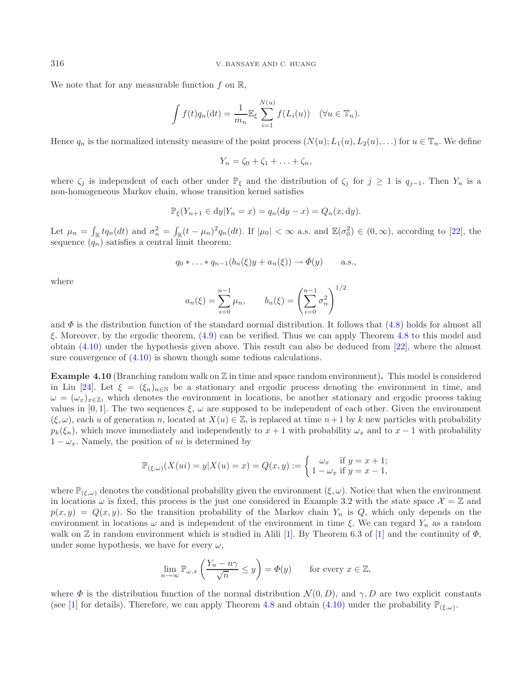We note that for any measurable function  $f$  on  $\mathbb{R}$ ,

$$
\int f(t)q_n(\mathrm{d}t) = \frac{1}{m_n} \mathbb{E}_{\xi} \sum_{i=1}^{N(u)} f(L_i(u)) \quad (\forall u \in \mathbb{T}_n).
$$

Hence  $q_n$  is the normalized intensity measure of the point process  $(N(u); L_1(u), L_2(u),...)$  for  $u \in \mathbb{T}_n$ . We define

$$
Y_n = \zeta_0 + \zeta_1 + \ldots + \zeta_n,
$$

where  $\zeta_j$  is independent of each other under  $\mathbb{P}_{\xi}$  and the distribution of  $\zeta_j$  for  $j \geq 1$  is  $q_{j-1}$ . Then  $Y_n$  is a non-homogeneous Markov chain, whose transition kernel satisfies

$$
\mathbb{P}_{\xi}(Y_{n+1} \in dy | Y_n = x) = q_n(dy - x) = Q_n(x, dy).
$$

Let  $\mu_n = \int_{\mathbb{R}} t q_n(dt)$  and  $\sigma_n^2 = \int_{\mathbb{R}} (t - \mu_n)^2 q_n(dt)$ . If  $|\mu_0| < \infty$  a.s. and  $\mathbb{E}(\sigma_0^2) \in (0, \infty)$ , according to [\[22](#page-18-12)], the sequence  $(q_n)$  satisfies a central limit theorem:

$$
q_0 * \ldots * q_{n-1}(b_n(\xi)y + a_n(\xi)) \to \Phi(y)
$$
 a.s.,

where

$$
a_n(\xi) = \sum_{i=0}^{n-1} \mu_i, \qquad b_n(\xi) = \left(\sum_{i=0}^{n-1} \sigma_n^2\right)^{1/2}
$$

and  $\Phi$  is the distribution function of the standard normal distribution. It follows that [\(4.8\)](#page-8-0) holds for almost all ξ. Moreover, by the ergodic theorem, [\(4.9\)](#page-8-1) can be verified. Thus we can apply Theorem [4.8](#page-8-2) to this model and obtain [\(4.10\)](#page-8-3) under the hypothesis given above. This result can also be deduced from [\[22](#page-18-12)], where the almost sure convergence of [\(4.10\)](#page-8-3) is shown though some tedious calculations.

**Example 4.10** (Branching random walk on Z in time and space random environment)**.** This model is considered in Liu [\[24](#page-18-21)]. Let  $\xi = (\xi_n)_{n\in\mathbb{N}}$  be a stationary and ergodic process denoting the environment in time, and  $\omega = (\omega_x)_{x \in \mathbb{Z}}$ , which denotes the environment in locations, be another stationary and ergodic process taking values in [0, 1]. The two sequences  $\xi$ ,  $\omega$  are supposed to be independent of each other. Given the environment  $(\xi, \omega)$ , each u of generation n, located at  $X(u) \in \mathbb{Z}$ , is replaced at time  $n+1$  by k new particles with probability  $p_k(\xi_n)$ , which move immediately and independently to  $x + 1$  with probability  $\omega_x$  and to  $x - 1$  with probability  $1 - \omega_x$ . Namely, the position of ui is determined by

$$
\mathbb{P}_{(\xi,\omega)}(X(ui) = y|X(u) = x) = Q(x,y) := \begin{cases} \omega_x & \text{if } y = x+1; \\ 1 - \omega_x & \text{if } y = x-1, \end{cases}
$$

where  $\mathbb{P}_{(\xi,\omega)}$  denotes the conditional probability given the environment  $(\xi,\omega)$ . Notice that when the environment in locations  $\omega$  is fixed, this process is the just one considered in Example 3.2 with the state space  $\mathcal{X} = \mathbb{Z}$  and  $p(x, y) = Q(x, y)$ . So the transition probability of the Markov chain  $Y_n$  is Q, which only depends on the environment in locations  $\omega$  and is independent of the environment in time ξ. We can regard  $Y_n$  as a random walk on  $\mathbb Z$  in random environment which is studied in Alili [\[1](#page-18-19)]. By Theorem 6.3 of [\[1\]](#page-18-19) and the continuity of  $\Phi$ , under some hypothesis, we have for every  $\omega$ ,

$$
\lim_{n \to \infty} \mathbb{P}_{\omega, x} \left( \frac{Y_n - n\gamma}{\sqrt{n}} \le y \right) = \varPhi(y) \quad \text{for every } x \in \mathbb{Z},
$$

where  $\Phi$  is the distribution function of the normal distribution  $\mathcal{N}(0, D)$ , and  $\gamma$ , D are two explicit constants (see [\[1\]](#page-18-19) for details). Therefore, we can apply Theorem [4.8](#page-8-2) and obtain [\(4.10\)](#page-8-3) under the probability  $\mathbb{P}_{(\xi,\omega)}$ .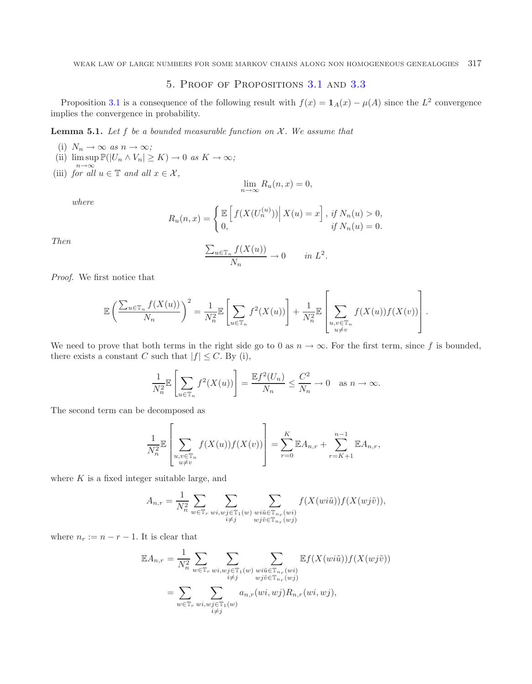## 5. Proof of Propositions [3.1](#page-3-3) and [3.3](#page-4-1)

<span id="page-10-1"></span><span id="page-10-0"></span>Proposition [3.1](#page-3-3) is a consequence of the following result with  $f(x) = \mathbf{1}_A(x) - \mu(A)$  since the  $L^2$  convergence implies the convergence in probability.

**Lemma 5.1.** *Let* f *be a bounded measurable function on* X*. We assume that*

- (i)  $N_n \to \infty$  *as*  $n \to \infty$ ;
- (ii)  $\limsup \mathbb{P}(|U_n \wedge V_n| \ge K) \to 0 \text{ as } K \to \infty$ ;
- (iii) *for all*  $u \in \mathbb{T}$  *and all*  $x \in \mathcal{X}$ ,

$$
\lim_{n \to \infty} R_u(n, x) = 0,
$$

*where*

$$
R_u(n,x) = \begin{cases} \mathbb{E}\left[f(X(U_n^{(u)})) \Big| X(u) = x\right], & \text{if } N_n(u) > 0, \\ 0, & \text{if } N_n(u) = 0. \end{cases}
$$

*Then*

$$
\frac{\sum_{u\in\mathbb{T}_n}f(X(u))}{N_n}\to 0\qquad\text{in }L^2.
$$

*Proof.* We first notice that

$$
\mathbb{E}\left(\frac{\sum_{u\in\mathbb{T}_n}f(X(u))}{N_n}\right)^2 = \frac{1}{N_n^2}\mathbb{E}\left[\sum_{u\in\mathbb{T}_n}f^2(X(u))\right] + \frac{1}{N_n^2}\mathbb{E}\left[\sum_{\substack{u,v\in\mathbb{T}_n\\u\neq v}}f(X(u))f(X(v))\right].
$$

We need to prove that both terms in the right side go to 0 as  $n \to \infty$ . For the first term, since f is bounded, there exists a constant C such that  $|f| \leq C$ . By (i),

$$
\frac{1}{N_n^2} \mathbb{E}\left[\sum_{u \in \mathbb{T}_n} f^2(X(u))\right] = \frac{\mathbb{E}f^2(U_n)}{N_n} \le \frac{C^2}{N_n} \to 0 \quad \text{as } n \to \infty.
$$

The second term can be decomposed as

$$
\frac{1}{N_n^2} \mathbb{E} \left[ \sum_{\substack{u,v \in \mathbb{T}_n \\ u \neq v}} f(X(u)) f(X(v)) \right] = \sum_{r=0}^K \mathbb{E} A_{n,r} + \sum_{r=K+1}^{n-1} \mathbb{E} A_{n,r},
$$

where  $K$  is a fixed integer suitable large, and

$$
A_{n,r} = \frac{1}{N_n^2} \sum_{w \in \mathbb{T}_r} \sum_{\substack{w_i, w_j \in \mathbb{T}_1(w) \\ i \neq j}} \sum_{\substack{w_i \tilde{u} \in \mathbb{T}_{n_r}(w_i) \\ w_j \tilde{v} \in \mathbb{T}_{n_r}(w_j)}} f(X(wi\tilde{u})) f(X(wj\tilde{v})),
$$

where  $n_r := n - r - 1$ . It is clear that

$$
\mathbb{E}A_{n,r} = \frac{1}{N_n^2} \sum_{w \in \mathbb{T}_r} \sum_{\substack{w : w_j \in \mathbb{T}_1(w) \\ i \neq j}} \sum_{\substack{w : \widetilde{w} \in \mathbb{T}_{nr}(wi) \\ w_j \widetilde{v} \in \mathbb{T}_{nr}(wy)}} \mathbb{E}f(X(wi\tilde{u}))f(X(wj\tilde{v}))
$$

$$
= \sum_{w \in \mathbb{T}_r} \sum_{\substack{w : w_j \in \mathbb{T}_1(w) \\ i \neq j}} a_{n,r}(wi, mj) R_{n,r}(wi,wj),
$$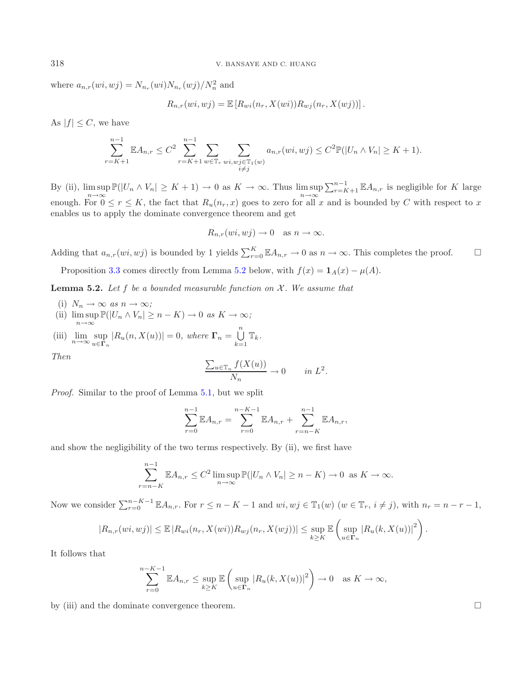where  $a_{n,r}(wi, mj) = N_{n_r}(wi)N_{n_r}(wj)/N_n^2$  and

$$
R_{n,r}(wi,wj) = \mathbb{E}\left[R_{wi}(n_r, X(wi))R_{wj}(n_r, X(wj))\right].
$$

As  $|f| < C$ , we have

$$
\sum_{r=K+1}^{n-1} \mathbb{E} A_{n,r} \leq C^2 \sum_{r=K+1}^{n-1} \sum_{w \in \mathbb{T}_r} \sum_{\substack{w_i, w_j \in \mathbb{T}_1(w) \\ i \neq j}} a_{n,r}(wi, mj) \leq C^2 \mathbb{P}(|U_n \wedge V_n| \geq K+1).
$$

By (ii), lim sup  $\limsup_{n\to\infty} \mathbb{P}(|U_n \wedge V_n| \geq K+1) \to 0$  as  $K \to \infty$ . Thus  $\limsup_{n\to\infty} \sum_{r=K+1}^{n-1} \mathbb{E} A_{n,r}$  is negligible for K large enough. For  $0 \le r \le K$ , the fact that  $R_u(n_r, x)$  goes to zero for all x and is bounded by C with respect to x enables us to apply the dominate convergence theorem and get

$$
R_{n,r}(wi,wj) \to 0 \quad \text{as } n \to \infty.
$$

Adding that  $a_{n,r}(wi, mj)$  is bounded by 1 yields  $\sum_{r=0}^{K} \mathbb{E} A_{n,r} \to 0$  as  $n \to \infty$ . This completes the proof.  $\Box$ 

Proposition [3.3](#page-4-1) comes directly from Lemma [5.2](#page-11-0) below, with  $f(x) = \mathbf{1}_A(x) - \mu(A)$ .

<span id="page-11-0"></span>**Lemma 5.2.** *Let* f *be a bounded measurable function on* X*. We assume that*

- (i)  $N_n \to \infty$  *as*  $n \to \infty$ ; (ii) lim sup  $n\rightarrow\infty$  $\mathbb{P}(|U_n \wedge V_n| \geq n - K) \to 0 \text{ as } K \to \infty;$
- (iii)  $\lim_{n \to \infty} \sup_{u \in \mathbf{\Gamma}_n}$  $|R_u(n, X(u))| = 0$ , where  $\Gamma_n = \bigcup_{k=1}^n \mathbb{T}_k$ .

*Then*

$$
\frac{\sum_{u\in\mathbb{T}_n} f(X(u))}{N_n} \to 0 \quad in \ L^2.
$$

*Proof.* Similar to the proof of Lemma [5.1,](#page-10-1) but we split

$$
\sum_{r=0}^{n-1} \mathbb{E} A_{n,r} = \sum_{r=0}^{n-K-1} \mathbb{E} A_{n,r} + \sum_{r=n-K}^{n-1} \mathbb{E} A_{n,r},
$$

and show the negligibility of the two terms respectively. By (ii), we first have

$$
\sum_{r=n-K}^{n-1} \mathbb{E} A_{n,r} \le C^2 \limsup_{n \to \infty} \mathbb{P}(|U_n \wedge V_n| \ge n - K) \to 0 \text{ as } K \to \infty.
$$

Now we consider  $\sum_{r=0}^{n-K-1} \mathbb{E} A_{n,r}$ . For  $r \leq n - K - 1$  and  $wi, mj \in \mathbb{T}_1(w)$   $(w \in \mathbb{T}_r, i \neq j)$ , with  $n_r = n - r - 1$ ,

$$
|R_{n,r}(wi,wj)| \leq \mathbb{E} |R_{wi}(n_r, X(wi))R_{wj}(n_r, X(wj))| \leq \sup_{k \geq K} \mathbb{E} \left( \sup_{u \in \Gamma_n} |R_u(k, X(u))|^2 \right).
$$

It follows that

$$
\sum_{r=0}^{n-K-1} \mathbb{E} A_{n,r} \le \sup_{k \ge K} \mathbb{E} \left( \sup_{u \in \mathbf{\Gamma}_n} |R_u(k, X(u))|^2 \right) \to 0 \quad \text{as } K \to \infty,
$$

by (iii) and the dominate convergence theorem.  $\Box$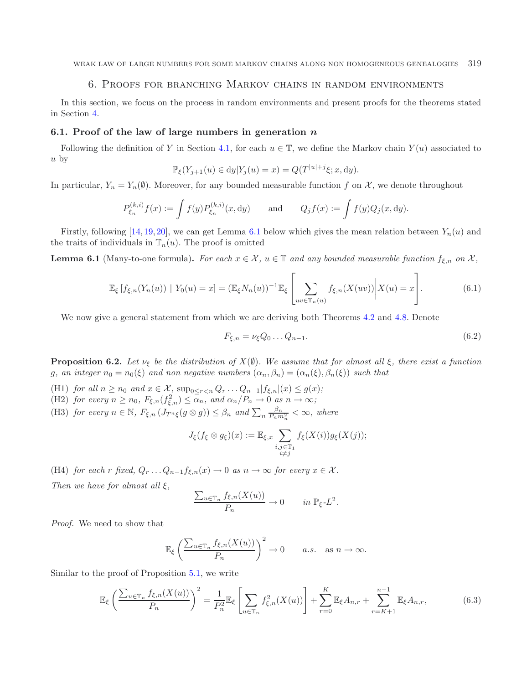## 6. Proofs for branching Markov chains in random environments

<span id="page-12-1"></span>In this section, we focus on the process in random environments and present proofs for the theorems stated in Section [4.](#page-4-0)

## **6.1. Proof of the law of large numbers in generation** *n*

Following the definition of Y in Section [4.1,](#page-5-0) for each  $u \in \mathbb{T}$ , we define the Markov chain  $Y(u)$  associated to u by

<span id="page-12-0"></span>
$$
\mathbb{P}_{\xi}(Y_{j+1}(u) \in dy | Y_j(u) = x) = Q(T^{|u|+j}\xi; x, dy).
$$

In particular,  $Y_n = Y_n(\emptyset)$ . Moreover, for any bounded measurable function f on X, we denote throughout

$$
P_{\xi_n}^{(k,i)} f(x) := \int f(y) P_{\xi_n}^{(k,i)}(x, \mathrm{d}y) \quad \text{and} \quad Q_j f(x) := \int f(y) Q_j(x, \mathrm{d}y).
$$

Firstly, following [\[14](#page-18-3), [19](#page-18-1), [20](#page-18-5)], we can get Lemma [6.1](#page-12-0) below which gives the mean relation between  $Y_n(u)$  and the traits of individuals in  $\mathbb{T}_n(u)$ . The proof is omitted

**Lemma 6.1** (Many-to-one formula). For each  $x \in \mathcal{X}$ ,  $u \in \mathbb{T}$  and any bounded measurable function  $f_{\xi,n}$  on  $\mathcal{X}$ ,

$$
\mathbb{E}_{\xi}\left[f_{\xi,n}(Y_n(u))\mid Y_0(u)=x\right]=(\mathbb{E}_{\xi}N_n(u))^{-1}\mathbb{E}_{\xi}\left[\sum_{uv\in\mathbb{T}_n(u)}f_{\xi,n}(X(uv))\bigg|X(u)=x\right].\tag{6.1}
$$

We now give a general statement from which we are deriving both Theorems [4.2](#page-6-4) and [4.8.](#page-8-2) Denote

$$
F_{\xi,n} = \nu_{\xi} Q_0 \dots Q_{n-1}.\tag{6.2}
$$

<span id="page-12-2"></span>**Proposition 6.2.** *Let*  $\nu_{\xi}$  *be the distribution of*  $X(\emptyset)$ *. We assume that for almost all*  $\xi$ *, there exist a function* g, an integer  $n_0 = n_0(\xi)$  and non negative numbers  $(\alpha_n, \beta_n) = (\alpha_n(\xi), \beta_n(\xi))$  *such that* 

- (H1) *for all*  $n \ge n_0$  *and*  $x \in \mathcal{X}$ ,  $\sup_{0 \le r \le n} Q_r \dots Q_{n-1} |f_{\xi,n}|(x) \le g(x)$ ;
- (H2) *for every*  $n \ge n_0$ ,  $F_{\xi,n}(f_{\xi,n}^2) \le \overline{\alpha}_n$ , and  $\alpha_n/P_n \to 0$  as  $n \to \infty$ ;

(H3) *for every*  $n \in \mathbb{N}$ ,  $F_{\xi,n}(J_{T^n\xi}(g \otimes g)) \leq \beta_n$  and  $\sum_n \frac{\beta_n}{P_n m_n^2} < \infty$ , where

$$
J_{\xi}(f_{\xi} \otimes g_{\xi})(x) := \mathbb{E}_{\xi,x} \sum_{\substack{i,j \in \mathbb{T}_1 \\ i \neq j}} f_{\xi}(X(i))g_{\xi}(X(j));
$$

(H4) *for each* r *fixed,*  $Q_r \dots Q_{n-1} f_{\xi,n}(x) \to 0$  *as*  $n \to \infty$  *for every*  $x \in \mathcal{X}$ *.* 

*Then we have for almost all* ξ*,*

$$
\frac{\sum_{u \in \mathbb{T}_n} f_{\xi,n}(X(u))}{P_n} \to 0 \quad in \; \mathbb{P}_{\xi} \text{-}L^2.
$$

*Proof.* We need to show that

$$
\mathbb{E}_{\xi}\left(\frac{\sum_{u\in\mathbb{T}_n}f_{\xi,n}(X(u))}{P_n}\right)^2\to 0\qquad a.s.\quad \text{as }n\to\infty.
$$

Similar to the proof of Proposition [5.1,](#page-10-1) we write

$$
\mathbb{E}_{\xi} \left( \frac{\sum_{u \in \mathbb{T}_n} f_{\xi,n}(X(u))}{P_n} \right)^2 = \frac{1}{P_n^2} \mathbb{E}_{\xi} \left[ \sum_{u \in \mathbb{T}_n} f_{\xi,n}^2(X(u)) \right] + \sum_{r=0}^K \mathbb{E}_{\xi} A_{n,r} + \sum_{r=K+1}^{n-1} \mathbb{E}_{\xi} A_{n,r}, \tag{6.3}
$$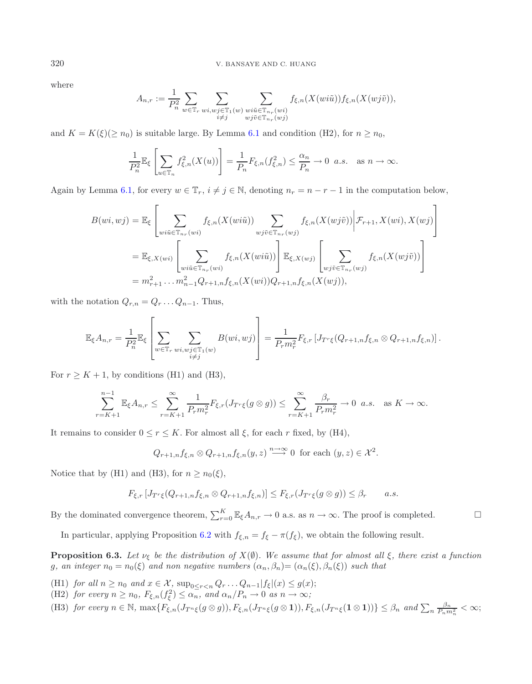where

$$
A_{n,r} := \frac{1}{P_n^2} \sum_{w \in \mathbb{T}_r} \sum_{\substack{w_i, w_j \in \mathbb{T}_1(w) \\ i \neq j}} \sum_{\substack{w_i \in \mathbb{T}_{n_r}(w_i) \\ w_j \tilde{v} \in \mathbb{T}_{n_r}(w_j)}} f_{\xi,n}(X(wi\tilde{u})) f_{\xi,n}(X(wj\tilde{v})),
$$

and  $K = K(\xi)(\geq n_0)$  is suitable large. By Lemma [6.1](#page-12-0) and condition (H2), for  $n \geq n_0$ ,

$$
\frac{1}{P_n^2} \mathbb{E}_{\xi} \left[ \sum_{u \in \mathbb{T}_n} f_{\xi,n}^2(X(u)) \right] = \frac{1}{P_n} F_{\xi,n}(f_{\xi,n}^2) \le \frac{\alpha_n}{P_n} \to 0 \text{ a.s. as } n \to \infty.
$$

Again by Lemma [6.1,](#page-12-0) for every  $w \in \mathbb{T}_r$ ,  $i \neq j \in \mathbb{N}$ , denoting  $n_r = n - r - 1$  in the computation below,

$$
B(wi, wj) = \mathbb{E}_{\xi} \left[ \sum_{wi\tilde{u} \in \mathbb{T}_{n_r}(wi)} f_{\xi, n}(X(wi\tilde{u})) \sum_{wj\tilde{v} \in \mathbb{T}_{n_r}(wj)} f_{\xi, n}(X(wj\tilde{v})) \Big| \mathcal{F}_{r+1}, X(wi), X(wj) \right]
$$
  
\n
$$
= \mathbb{E}_{\xi, X(wi)} \left[ \sum_{wi\tilde{u} \in \mathbb{T}_{n_r}(wi)} f_{\xi, n}(X(wi\tilde{u})) \right] \mathbb{E}_{\xi, X(wj)} \left[ \sum_{wj\tilde{v} \in \mathbb{T}_{n_r}(wj)} f_{\xi, n}(X(wj\tilde{v})) \right]
$$
  
\n
$$
= m_{r+1}^2 \dots m_{n-1}^2 Q_{r+1, n} f_{\xi, n}(X(wi)) Q_{r+1, n} f_{\xi, n}(X(wj)),
$$

with the notation  $Q_{r,n} = Q_r \dots Q_{n-1}$ . Thus,

$$
\mathbb{E}_{\xi} A_{n,r} = \frac{1}{P_n^2} \mathbb{E}_{\xi} \left[ \sum_{w \in \mathbb{T}_r} \sum_{\substack{w_i, w_j \in \mathbb{T}_1(w) \\ i \neq j}} B(w_i, w_j) \right] = \frac{1}{P_r m_r^2} F_{\xi,r} \left[ J_{T^r \xi}(Q_{r+1,n} f_{\xi,n} \otimes Q_{r+1,n} f_{\xi,n}) \right].
$$

For  $r \geq K + 1$ , by conditions (H1) and (H3),

$$
\sum_{r=K+1}^{n-1} \mathbb{E}_{\xi} A_{n,r} \leq \sum_{r=K+1}^{\infty} \frac{1}{P_r m_r^2} F_{\xi,r} (J_{T^r \xi}(g \otimes g)) \leq \sum_{r=K+1}^{\infty} \frac{\beta_r}{P_r m_r^2} \to 0 \quad a.s. \quad \text{as } K \to \infty.
$$

It remains to consider  $0 \le r \le K$ . For almost all  $\xi$ , for each r fixed, by (H4),

$$
Q_{r+1,n}f_{\xi,n}\otimes Q_{r+1,n}f_{\xi,n}(y,z)\stackrel{n\to\infty}{\longrightarrow}0\ \ \text{for each}\ (y,z)\in\mathcal{X}^2.
$$

Notice that by (H1) and (H3), for  $n \geq n_0(\xi)$ ,

$$
F_{\xi,r}[J_{T^r\xi}(Q_{r+1,n}f_{\xi,n}\otimes Q_{r+1,n}f_{\xi,n})]\leq F_{\xi,r}(J_{T^r\xi}(g\otimes g))\leq \beta_r\qquad a.s.
$$

By the dominated convergence theorem,  $\sum_{r=0}^{K} \mathbb{E}_{\xi} A_{n,r} \to 0$  a.s. as  $n \to \infty$ . The proof is completed.  $\Box$ 

In particular, applying Proposition [6.2](#page-12-2) with  $f_{\xi,n} = f_{\xi} - \pi(f_{\xi})$ , we obtain the following result.

<span id="page-13-0"></span>**Proposition 6.3.** *Let*  $\nu_{\xi}$  *be the distribution of*  $X(\emptyset)$ *. We assume that for almost all*  $\xi$ *, there exist a function* g, an integer  $n_0 = n_0(\xi)$  and non negative numbers  $(\alpha_n, \beta_n) = (\alpha_n(\xi), \beta_n(\xi))$  such that

- (H1) for all  $n \ge n_0$  and  $x \in \mathcal{X}$ ,  $\sup_{0 \le r < n} Q_r \dots Q_{n-1} |f_{\xi}|(x) \le g(x);$
- (H2) *for every*  $n \ge n_0$ ,  $F_{\xi,n}(f_{\xi}^2) \le \alpha_n$ , and  $\alpha_n/P_n \to 0$  as  $n \to \infty$ ;
- (H3) *for every*  $n \in \mathbb{N}$ ,  $\max\{F_{\xi,n}(J_{T^n\xi}(g\otimes g)), F_{\xi,n}(J_{T^n\xi}(g\otimes 1)), F_{\xi,n}(J_{T^n\xi}(1\otimes 1))\}\leq \beta_n$  and  $\sum_n \frac{\beta_n}{P_n m_n^2} < \infty$ ;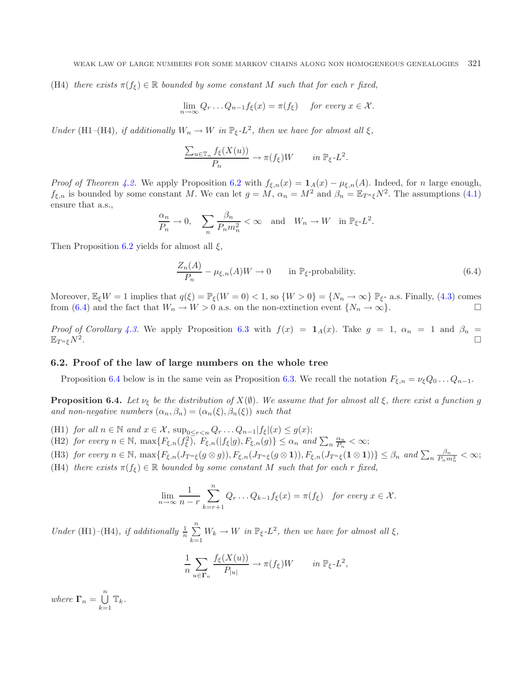(H4) *there exists*  $\pi(f_{\xi}) \in \mathbb{R}$  *bounded by some constant* M *such that for each* r *fixed,* 

<span id="page-14-0"></span>
$$
\lim_{n \to \infty} Q_r \dots Q_{n-1} f_{\xi}(x) = \pi(f_{\xi}) \quad \text{for every } x \in \mathcal{X}.
$$

*Under* (H1–(H4)*, if additionally*  $W_n \to W$  *in*  $\mathbb{P}_{\xi}$ - $L^2$ *, then we have for almost all*  $\xi$ *,* 

$$
\frac{\sum_{u \in \mathbb{T}_n} f_{\xi}(X(u))}{P_n} \to \pi(f_{\xi})W \qquad in \; \mathbb{P}_{\xi} \text{-}L^2.
$$

*Proof of Theorem [4.2.](#page-6-4)* We apply Proposition [6.2](#page-12-2) with  $f_{\xi,n}(x) = \mathbf{1}_A(x) - \mu_{\xi,n}(A)$ . Indeed, for n large enough,  $f_{\xi,n}$  is bounded by some constant M. We can let  $g = M$ ,  $\alpha_n = M^2$  and  $\beta_n = \mathbb{E}_{T^n\xi}N^2$ . The assumptions [\(4.1\)](#page-5-1) ensure that a.s.,

$$
\frac{\alpha_n}{P_n} \to 0, \quad \sum_n \frac{\beta_n}{P_n m_n^2} < \infty \quad \text{and} \quad W_n \to W \quad \text{in } \mathbb{P}_{\xi} \subset L^2.
$$

Then Proposition [6.2](#page-12-2) yields for almost all  $\xi$ ,

$$
\frac{Z_n(A)}{P_n} - \mu_{\xi,n}(A)W \to 0 \qquad \text{in } \mathbb{P}_{\xi} \text{-probability.}
$$
 (6.4)

Moreover,  $\mathbb{E}_{\xi}W = 1$  implies that  $q(\xi) = \mathbb{P}_{\xi}(W = 0) < 1$ , so  $\{W > 0\} = \{N_n \to \infty\}$   $\mathbb{P}_{\xi}$ - a.s. Finally, [\(4.3\)](#page-6-5) comes from [\(6.4\)](#page-14-0) and the fact that  $W_n \to W > 0$  a.s. on the non-extinction event  $\{N_n \to \infty\}$ .

*Proof of Corollary [4.3.](#page-6-3)* We apply Proposition [6.3](#page-13-0) with  $f(x) = 1_A(x)$ . Take  $g = 1$ ,  $\alpha_n = 1$  and  $\beta_n =$  $\mathbb{E}_{T^{n}\xi}N^{2}.$ 

### <span id="page-14-1"></span>**6.2. Proof of the law of large numbers on the whole tree**

Proposition [6.4](#page-14-1) below is in the same vein as Proposition [6.3.](#page-13-0) We recall the notation  $F_{\xi,n} = \nu_{\xi} Q_0 \dots Q_{n-1}$ .

**Proposition 6.4.** *Let*  $\nu_{\xi}$  *be the distribution of*  $X(\emptyset)$ *. We assume that for almost all*  $\xi$ *, there exist a function* g *and non-negative numbers*  $(\alpha_n, \beta_n) = (\alpha_n(\xi), \beta_n(\xi))$  *such that* 

- (H1) *for all*  $n \in \mathbb{N}$  *and*  $x \in \mathcal{X}$ ,  $\sup_{0 \leq r \leq n} Q_r \dots Q_{n-1} |f_{\xi}|(x) \leq g(x);$
- (H2) *for every*  $n \in \mathbb{N}$ ,  $\max\{F_{\xi,n}(f_{\xi}^2), F_{\xi,n}(|f_{\xi}|g), F_{\xi,n}(g)\} \leq \alpha_n$  and  $\sum_n \frac{\alpha_n}{P_n} < \infty$ ;
- (H3) *for every*  $n \in \mathbb{N}$ ,  $\max\{F_{\xi,n}(J_{T^n\xi}(g\otimes g)), F_{\xi,n}(J_{T^n\xi}(g\otimes 1)), F_{\xi,n}(J_{T^n\xi}(1\otimes 1))\}\leq \beta_n$  and  $\sum_n \frac{\beta_n}{P_n m_n^2} < \infty$ ;
- (H4) *there exists*  $\pi(f_{\xi}) \in \mathbb{R}$  *bounded by some constant* M *such that for each* r *fixed,*

$$
\lim_{n \to \infty} \frac{1}{n-r} \sum_{k=r+1}^{n} Q_r \dots Q_{k-1} f_{\xi}(x) = \pi(f_{\xi}) \quad \text{for every } x \in \mathcal{X}.
$$

*Under* (H1)–(H4), if additionally  $\frac{1}{n} \sum_{n=1}^{n}$  $\sum_{k=1}^{n} W_k \to W$  *in*  $\mathbb{P}_{\xi}$ - $L^2$ *, then we have for almost all*  $\xi$ *,* 

$$
\frac{1}{n} \sum_{u \in \Gamma_n} \frac{f_{\xi}(X(u))}{P_{|u|}} \to \pi(f_{\xi})W \qquad in \; \mathbb{P}_{\xi} \text{-}L^2,
$$

*where*  $\mathbf{\Gamma}_n = \bigcup_{k=1}^n \mathbb{T}_k$ .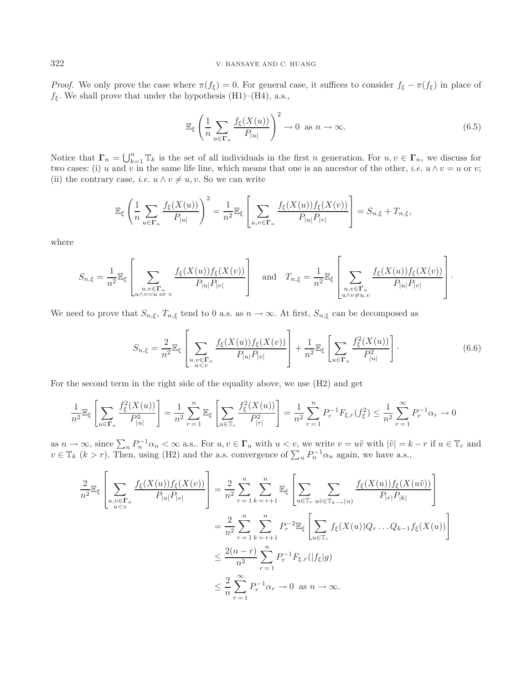*Proof.* We only prove the case where  $\pi(f_{\xi}) = 0$ . For general case, it suffices to consider  $f_{\xi} - \pi(f_{\xi})$  in place of  $f_{\xi}$ . We shall prove that under the hypothesis (H1)–(H4), a.s.,

$$
\mathbb{E}_{\xi} \left( \frac{1}{n} \sum_{u \in \mathbf{\Gamma}_n} \frac{f_{\xi}(X(u))}{P_{|u|}} \right)^2 \to 0 \text{ as } n \to \infty.
$$
 (6.5)

Notice that  $\Gamma_n = \bigcup_{k=1}^n \mathbb{T}_k$  is the set of all individuals in the first n generation. For  $u, v \in \Gamma_n$ , we discuss for two cases: (i) u and v in the same life line, which means that one is an ancestor of the other, *i.e.*  $u \wedge v = u$  or v; (ii) the contrary case, *i.e.*  $u \wedge v \neq u, v$ . So we can write

$$
\mathbb{E}_{\xi}\left(\frac{1}{n}\sum_{u\in\mathbf{\Gamma}_n}\frac{f_{\xi}(X(u))}{P_{|u|}}\right)^2 = \frac{1}{n^2}\mathbb{E}_{\xi}\left[\sum_{u,v\in\mathbf{\Gamma}_n}\frac{f_{\xi}(X(u))f_{\xi}(X(v))}{P_{|u|}P_{|v|}}\right] = S_{n,\xi} + T_{n,\xi},
$$

where

$$
S_{n,\xi} = \frac{1}{n^2} \mathbb{E}_{\xi} \left[ \sum_{\substack{u,v \in \Gamma_n \\ u \wedge v = u \text{ or } v}} \frac{f_{\xi}(X(u)) f_{\xi}(X(v))}{P_{|u|} P_{|v|}} \right] \quad \text{and} \quad T_{n,\xi} = \frac{1}{n^2} \mathbb{E}_{\xi} \left[ \sum_{\substack{u,v \in \Gamma_n \\ u \wedge v \neq u,v}} \frac{f_{\xi}(X(u)) f_{\xi}(X(v))}{P_{|u|} P_{|v|}} \right].
$$

We need to prove that  $S_{n,\xi}$ ,  $T_{n,\xi}$  tend to 0 a.s. as  $n \to \infty$ . At first,  $S_{n,\xi}$  can be decomposed as

$$
S_{n,\xi} = \frac{2}{n^2} \mathbb{E}_{\xi} \left[ \sum_{\substack{u,v \in \Gamma_n \\ u < v}} \frac{f_{\xi}(X(u)) f_{\xi}(X(v))}{P_{|u|} P_{|v|}} \right] + \frac{1}{n^2} \mathbb{E}_{\xi} \left[ \sum_{u \in \Gamma_n} \frac{f_{\xi}^2(X(u))}{P_{|u|}^2} \right]. \tag{6.6}
$$

For the second term in the right side of the equality above, we use (H2) and get

$$
\frac{1}{n^2} \mathbb{E}_{\xi} \left[ \sum_{u \in \mathbf{\Gamma}_n} \frac{f_{\xi}^2(X(u))}{P_{|u|}^2} \right] = \frac{1}{n^2} \sum_{r=1}^n \mathbb{E}_{\xi} \left[ \sum_{u \in \mathbb{T}_r} \frac{f_{\xi}^2(X(u))}{P_{|r|}^2} \right] = \frac{1}{n^2} \sum_{r=1}^n P_r^{-1} F_{\xi,r}(f_{\xi}^2) \le \frac{1}{n^2} \sum_{r=1}^{\infty} P_r^{-1} \alpha_r \to 0
$$

as  $n \to \infty$ , since  $\sum_n P_n^{-1} \alpha_n < \infty$  a.s.. For  $u, v \in \Gamma_n$  with  $u < v$ , we write  $v = u\tilde{v}$  with  $|\tilde{v}| = k - r$  if  $u \in \mathbb{T}_r$  and  $v \in \mathbb{T}_k$   $(k > r)$ . Then, using (H2) and the a.s. convergence of  $\sum_n P_n^{-1} \alpha_n$  again, we have a.s.,

$$
\frac{2}{n^2} \mathbb{E}_{\xi} \left[ \sum_{u,v \in \Gamma_n} \frac{f_{\xi}(X(u)) f_{\xi}(X(v))}{P_{|u|} P_{|v|}} \right] = \frac{2}{n^2} \sum_{r=1}^n \sum_{k=r+1}^n \mathbb{E}_{\xi} \left[ \sum_{u \in \mathbb{T}_r} \sum_{u \tilde{v} \in \mathbb{T}_{k-r}(u)} \frac{f_{\xi}(X(u)) f_{\xi}(X(u\tilde{v}))}{P_{|r|} P_{|k|}} \right]
$$

$$
= \frac{2}{n^2} \sum_{r=1}^n \sum_{k=r+1}^n P_r^{-2} \mathbb{E}_{\xi} \left[ \sum_{u \in \mathbb{T}_r} f_{\xi}(X(u)) Q_r \dots Q_{k-1} f_{\xi}(X(u)) \right]
$$

$$
\leq \frac{2(n-r)}{n^2} \sum_{r=1}^n P_r^{-1} F_{\xi,r}(|f_{\xi}| g)
$$

$$
\leq \frac{2}{n} \sum_{r=1}^\infty P_r^{-1} \alpha_r \to 0 \text{ as } n \to \infty.
$$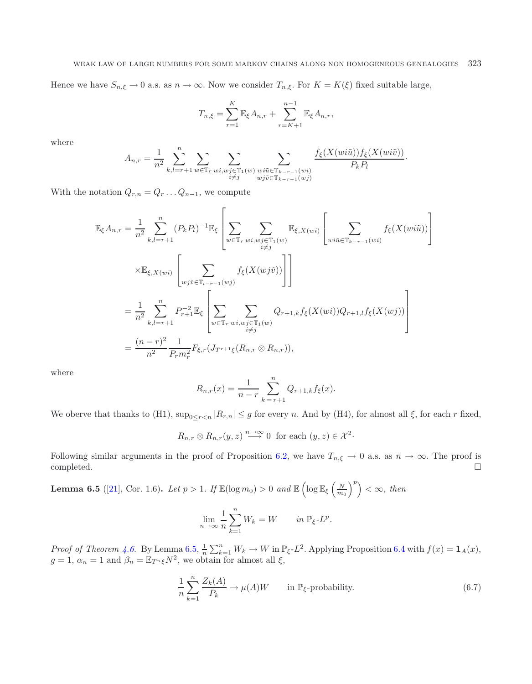Hence we have  $S_{n,\xi} \to 0$  a.s. as  $n \to \infty$ . Now we consider  $T_{n,\xi}$ . For  $K = K(\xi)$  fixed suitable large,

$$
T_{n,\xi} = \sum_{r=1}^{K} \mathbb{E}_{\xi} A_{n,r} + \sum_{r=K+1}^{n-1} \mathbb{E}_{\xi} A_{n,r},
$$

where

$$
A_{n,r} = \frac{1}{n^2} \sum_{k,l=r+1}^n \sum_{w \in \mathbb{T}_r} \sum_{\substack{wi, mj \in \mathbb{T}_1(w) \; wi \tilde{u} \in \mathbb{T}_{k-r-1}(wi) \\ i \neq j}} \sum_{\substack{f \in (X(wi\tilde{u})) f_{\xi}(X(wi\tilde{v})) \\ wj\tilde{v} \in \mathbb{T}_{k-r-1}(wj)}} \frac{f_{\xi}(X(wi\tilde{u})) f_{\xi}(X(wi\tilde{v}))}{P_k P_l}.
$$

With the notation  $Q_{r,n} = Q_r \dots Q_{n-1}$ , we compute

$$
\mathbb{E}_{\xi} A_{n,r} = \frac{1}{n^2} \sum_{k,l=r+1}^n (P_k P_l)^{-1} \mathbb{E}_{\xi} \left[ \sum_{w \in \mathbb{T}_r} \sum_{wi, w_j \in \mathbb{T}_1(w)} \mathbb{E}_{\xi, X(wi)} \left[ \sum_{wi\tilde{u} \in \mathbb{T}_{k-r-1}(wi)} f_{\xi}(X(wi\tilde{u})) \right] \right]
$$
  
\n
$$
\times \mathbb{E}_{\xi, X(wi)} \left[ \sum_{wj\tilde{v} \in \mathbb{T}_{l-r-1}(wy)} f_{\xi}(X(wj\tilde{v})) \right]
$$
  
\n
$$
= \frac{1}{n^2} \sum_{k,l=r+1}^n P_{r+1}^{-2} \mathbb{E}_{\xi} \left[ \sum_{w \in \mathbb{T}_r} \sum_{wi, wj \in \mathbb{T}_1(w)} Q_{r+1,k} f_{\xi}(X(wi)) Q_{r+1,l} f_{\xi}(X(wj)) \right]
$$
  
\n
$$
= \frac{(n-r)^2}{n^2} \frac{1}{P_r m_r^2} F_{\xi,r}(J_{T^{r+1}\xi}(R_{n,r} \otimes R_{n,r})),
$$

where

$$
R_{n,r}(x) = \frac{1}{n-r} \sum_{k=r+1}^{n} Q_{r+1,k} f_{\xi}(x).
$$

We oberve that thanks to (H1),  $\sup_{0 \leq r \leq n} |R_{r,n}| \leq g$  for every n. And by (H4), for almost all  $\xi$ , for each r fixed,

<span id="page-16-0"></span>
$$
R_{n,r} \otimes R_{n,r}(y,z) \stackrel{n \to \infty}{\longrightarrow} 0 \text{ for each } (y,z) \in \mathcal{X}^2.
$$

Following similar arguments in the proof of Proposition [6.2,](#page-12-2) we have  $T_{n,\xi} \to 0$  a.s. as  $n \to \infty$ . The proof is  $\Box$  completed.  $\Box$ 

<span id="page-16-1"></span>**Lemma 6.5** ([\[21\]](#page-18-22), Cor. 1.6). *Let*  $p > 1$ *. If*  $\mathbb{E}(\log m_0) > 0$  *and*  $\mathbb{E}(\log \mathbb{E}_{\xi}\left(\frac{N}{m_0}\right)^p) < \infty$ *, then* 

$$
\lim_{n \to \infty} \frac{1}{n} \sum_{k=1}^{n} W_k = W \qquad in \; \mathbb{P}_{\xi} \text{-}L^p.
$$

*Proof of Theorem [4.6.](#page-7-2)* By Lemma [6.5,](#page-16-1)  $\frac{1}{n} \sum_{k=1}^{n} W_k \to W$  in  $\mathbb{P}_{\xi}$ -L<sup>2</sup>. Applying Proposition [6.4](#page-14-1) with  $f(x) = \mathbf{1}_A(x)$ ,  $g = 1, \alpha_n = 1$  and  $\beta_n = \mathbb{E}_{T^n\xi} N^2$ , we obtain for almost all  $\xi$ ,

$$
\frac{1}{n}\sum_{k=1}^{n}\frac{Z_k(A)}{P_k} \to \mu(A)W \qquad \text{in } \mathbb{P}_{\xi}\text{-probability.}
$$
\n(6.7)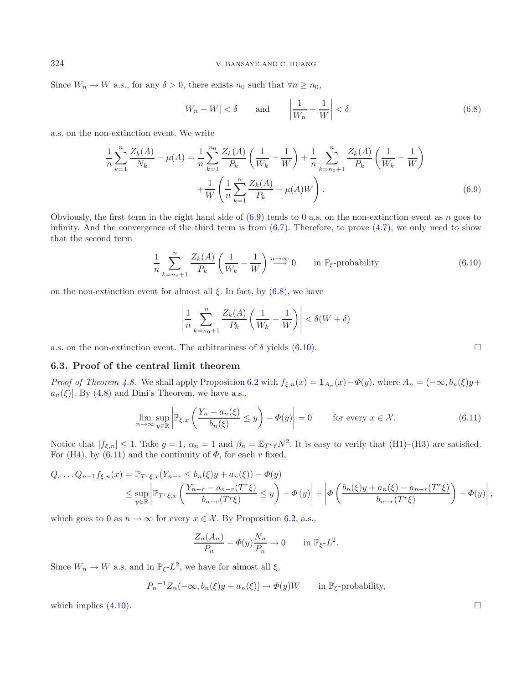<span id="page-17-2"></span>Since  $W_n \to W$  a.s., for any  $\delta > 0$ , there exists  $n_0$  such that  $\forall n \geq n_0$ ,

<span id="page-17-1"></span>
$$
|W_n - W| < \delta \qquad \text{and} \qquad \left| \frac{1}{W_n} - \frac{1}{W} \right| < \delta \tag{6.8}
$$

<span id="page-17-0"></span>a.s. on the non-extinction event. We write

$$
\frac{1}{n}\sum_{k=1}^{n}\frac{Z_{k}(A)}{N_{k}}-\mu(A) = \frac{1}{n}\sum_{k=1}^{n_{0}}\frac{Z_{k}(A)}{P_{k}}\left(\frac{1}{W_{k}}-\frac{1}{W}\right) + \frac{1}{n}\sum_{k=n_{0}+1}^{n}\frac{Z_{k}(A)}{P_{k}}\left(\frac{1}{W_{k}}-\frac{1}{W}\right) + \frac{1}{W}\left(\frac{1}{n}\sum_{k=1}^{n}\frac{Z_{k}(A)}{P_{k}}-\mu(A)W\right).
$$
\n(6.9)

Obviously, the first term in the right hand side of  $(6.9)$  tends to 0 a.s. on the non-extinction event as n goes to infinity. And the convergence of the third term is from  $(6.7)$ . Therefore, to prove  $(4.7)$ , we only need to show that the second term

<span id="page-17-3"></span>
$$
\frac{1}{n} \sum_{k=n_0+1}^{n} \frac{Z_k(A)}{P_k} \left(\frac{1}{W_k} - \frac{1}{W}\right) \stackrel{n \to \infty}{\longrightarrow} 0 \quad \text{in } \mathbb{P}_{\xi} \text{-probability}
$$
\n(6.10)

on the non-extinction event for almost all  $\xi$ . In fact, by [\(6.8\)](#page-17-1), we have

$$
\left| \frac{1}{n} \sum_{k=n_0+1}^n \frac{Z_k(A)}{P_k} \left( \frac{1}{W_k} - \frac{1}{W} \right) \right| < \delta(W + \delta)
$$

a.s. on the non-extinction event. The arbitrariness of  $\delta$  yields [\(6.10\)](#page-17-2).

### **6.3. Proof of the central limit theorem**

*Proof of Theorem [4.8.](#page-8-2)* We shall apply Proposition [6.2](#page-12-2) with  $f_{\xi,n}(x) = \mathbf{1}_{A_n}(x) - \Phi(y)$ , where  $A_n = (-\infty, b_n(\xi)y +$  $a_n(\xi)$ . By [\(4.8\)](#page-8-0) and Dini's Theorem, we have a.s.,

$$
\lim_{n \to \infty} \sup_{y \in \mathbb{R}} \left| \mathbb{P}_{\xi, x} \left( \frac{Y_n - a_n(\xi)}{b_n(\xi)} \le y \right) - \Phi(y) \right| = 0 \quad \text{for every } x \in \mathcal{X}.
$$
 (6.11)

Notice that  $|f_{\xi,n}| \leq 1$ . Take  $g = 1$ ,  $\alpha_n = 1$  and  $\beta_n = \mathbb{E}_{T^n \xi} N^2$ . It is easy to verify that (H1)–(H3) are satisfied. For (H4), by [\(6.11\)](#page-17-3) and the continuity of  $\Phi$ , for each r fixed,

$$
Q_r \dots Q_{n-1} f_{\xi,n}(x) = \mathbb{P}_{T^r\xi,x}(Y_{n-r} \le b_n(\xi)y + a_n(\xi)) - \Phi(y)
$$
  
\$\le \sup\_{y \in \mathbb{R}} \left| \mathbb{P}\_{T^r\xi,x}\left(\frac{Y\_{n-r} - a\_{n-r}(T^r\xi)}{b\_{n-r}(T^r\xi)} \le y\right) - \Phi(y) \right| + \left| \Phi\left(\frac{b\_n(\xi)y + a\_n(\xi) - a\_{n-r}(T^r\xi)}{b\_{n-r}(T^r\xi)}\right) - \Phi(y) \right|\$,

which goes to 0 as  $n \to \infty$  for every  $x \in \mathcal{X}$ . By Proposition [6.2,](#page-12-2) a.s.,

$$
\frac{Z_n(A_n)}{P_n} - \Phi(y)\frac{N_n}{P_n} \to 0 \quad \text{in } \mathbb{P}_{\xi} \text{-}L^2.
$$

Since  $W_n \to W$  a.s. and in  $\mathbb{P}_{\xi}L^2$ , we have for almost all  $\xi$ ,

$$
P_n^{-1}Z_n(-\infty, b_n(\xi)y + a_n(\xi)] \to \Phi(y)W \quad \text{in } \mathbb{P}_{\xi} \text{-probability},
$$

which implies  $(4.10)$ .

 $\Box$ 

$$
32\,
$$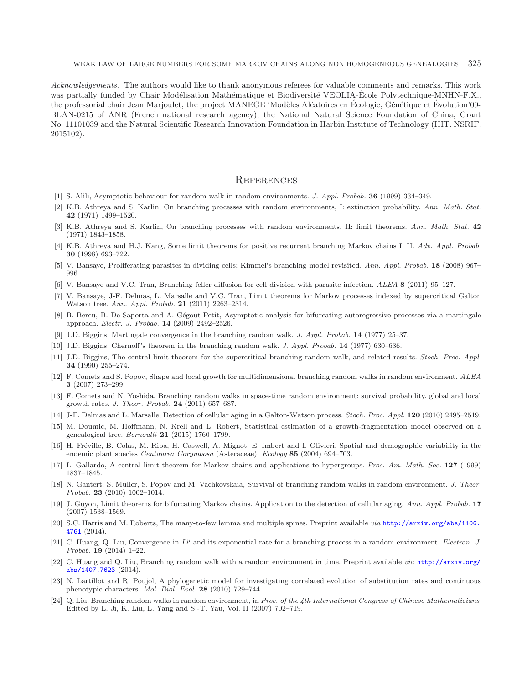#### WEAK LAW OF LARGE NUMBERS FOR SOME MARKOV CHAINS ALONG NON HOMOGENEOUS GENEALOGIES 325

*Acknowledgements.* The authors would like to thank anonymous referees for valuable comments and remarks. This work was partially funded by Chair Modélisation Mathématique et Biodiversité VEOLIA-École Polytechnique-MNHN-F.X., the professorial chair Jean Marjoulet, the project MANEGE 'Modèles Aléatoires en Écologie, Génétique et Évolution'09-BLAN-0215 of ANR (French national research agency), the National Natural Science Foundation of China, Grant No. 11101039 and the Natural Scientific Research Innovation Foundation in Harbin Institute of Technology (HIT. NSRIF. 2015102).

### **REFERENCES**

- <span id="page-18-19"></span>[1] S. Alili, Asymptotic behaviour for random walk in random environments. *J. Appl. Probab.* **36** (1999) 334–349.
- <span id="page-18-16"></span>[2] K.B. Athreya and S. Karlin, On branching processes with random environments, I: extinction probability. *Ann. Math. Stat.* **42** (1971) 1499–1520.
- <span id="page-18-17"></span>[3] K.B. Athreya and S. Karlin, On branching processes with random environments, II: limit theorems. *Ann. Math. Stat.* **42** (1971) 1843–1858.
- <span id="page-18-0"></span>[4] K.B. Athreya and H.J. Kang, Some limit theorems for positive recurrent branching Markov chains I, II. *Adv. Appl. Probab.* **30** (1998) 693–722.
- <span id="page-18-2"></span>[5] V. Bansaye, Proliferating parasites in dividing cells: Kimmel's branching model revisited. *Ann. Appl. Probab.* **18** (2008) 967– 996.
- <span id="page-18-6"></span>[6] V. Bansaye and V.C. Tran, Branching feller diffusion for cell division with parasite infection. *ALEA* **8** (2011) 95–127.
- <span id="page-18-18"></span>[7] V. Bansaye, J-F. Delmas, L. Marsalle and V.C. Tran, Limit theorems for Markov processes indexed by supercritical Galton Watson tree. *Ann. Appl. Probab.* **21** (2011) 2263–2314.
- <span id="page-18-4"></span>[8] B. Bercu, B. De Saporta and A. Gégout-Petit, Asymptotic analysis for bifurcating autoregressive processes via a martingale approach. *Electr. J. Probab.* **14** (2009) 2492–2526.
- [9] J.D. Biggins, Martingale convergence in the branching random walk. *J. Appl. Probab.* **14** (1977) 25–37.
- <span id="page-18-7"></span>[10] J.D. Biggins, Chernoff's theorem in the branching random walk. *J. Appl. Probab.* **14** (1977) 630–636.
- <span id="page-18-8"></span>[11] J.D. Biggins, The central limit theorem for the supercritical branching random walk, and related results. *Stoch. Proc. Appl.* **34** (1990) 255–274.
- <span id="page-18-9"></span>[12] F. Comets and S. Popov, Shape and local growth for multidimensional branching random walks in random environment. *ALEA* **3** (2007) 273–299.
- <span id="page-18-10"></span>[13] F. Comets and N. Yoshida, Branching random walks in space-time random environment: survival probability, global and local growth rates. *J. Theor. Probab.* **24** (2011) 657–687.
- <span id="page-18-3"></span>[14] J-F. Delmas and L. Marsalle, Detection of cellular aging in a Galton-Watson process. *Stoch. Proc. Appl.* **120** (2010) 2495–2519.
- <span id="page-18-15"></span>[15] M. Doumic, M. Hoffmann, N. Krell and L. Robert, Statistical estimation of a growth-fragmentation model observed on a genealogical tree. *Bernoulli* **21** (2015) 1760–1799.
- <span id="page-18-13"></span>[16] H. Fréville, B. Colas, M. Riba, H. Caswell, A. Mignot, E. Imbert and I. Olivieri, Spatial and demographic variability in the endemic plant species *Centaurea Corymbosa* (Asteraceae). *Ecology* **85** (2004) 694–703.
- <span id="page-18-20"></span>[17] L. Gallardo, A central limit theorem for Markov chains and applications to hypergroups. *Proc. Am. Math. Soc.* **127** (1999) 1837–1845.
- <span id="page-18-11"></span>[18] N. Gantert, S. M¨uller, S. Popov and M. Vachkovskaia, Survival of branching random walks in random environment. *J. Theor. Probab.* **23** (2010) 1002–1014.
- <span id="page-18-1"></span>[19] J. Guyon, Limit theorems for bifurcating Markov chains. Application to the detection of cellular aging. *Ann. Appl. Probab.* **17** (2007) 1538–1569.
- <span id="page-18-5"></span>[20] S.C. Harris and M. Roberts, The many-to-few lemma and multiple spines. Preprint available *via* [http://arxiv.org/abs/1106.](http://arxiv.org/abs/1106.4761) [4761](http://arxiv.org/abs/1106.4761) (2014).
- <span id="page-18-22"></span>[21] C. Huang, Q. Liu, Convergence in L*<sup>p</sup>* and its exponential rate for a branching process in a random environment. *Electron. J. Probab.* **19** (2014) 1–22.
- <span id="page-18-12"></span>[22] C. Huang and Q. Liu, Branching random walk with a random environment in time. Preprint available *via* [http://arxiv.org/](http://arxiv.org/abs/1407.7623) [abs/1407.7623](http://arxiv.org/abs/1407.7623) (2014).
- <span id="page-18-14"></span>[23] N. Lartillot and R. Poujol, A phylogenetic model for investigating correlated evolution of substitution rates and continuous phenotypic characters. *Mol. Biol. Evol.* **28** (2010) 729–744.
- <span id="page-18-21"></span>[24] Q. Liu, Branching random walks in random environment, in *Proc. of the 4th International Congress of Chinese Mathematicians*. Edited by L. Ji, K. Liu, L. Yang and S.-T. Yau, Vol. II (2007) 702–719.